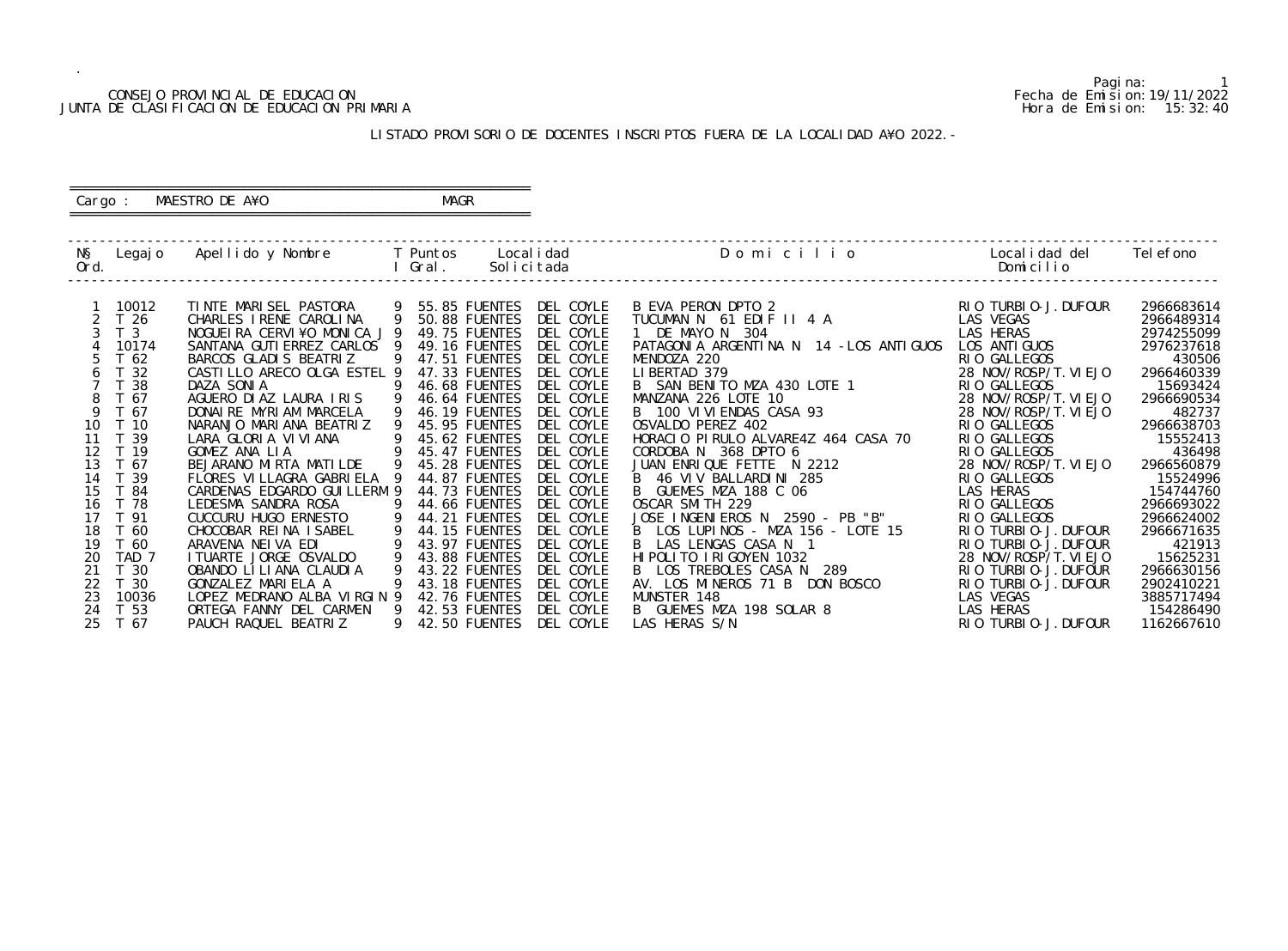#### CONSEJO PROVINCIAL DE EDUCACION Fecha de Emision:19/11/2022 JUNTA DE CLASIFICACION DE EDUCACION PRIMARIA Hora de Emision: 15:32:40

 ========================================================== Cargo : MAESTRO DE A¥O **MAGR** 

## LISTADO PROVISORIO DE DOCENTES INSCRIPTOS FUERA DE LA LOCALIDAD A¥O 2022.-

==========================================================

| NŞ<br>Ord. | Legaj o          | Apellido y Nombre            |              | <b>T</b> Puntos<br>Gral. | Local i dad<br>Solicitada | Domicilio                               | Local i dad del<br>Domicilio | Tel efono  |
|------------|------------------|------------------------------|--------------|--------------------------|---------------------------|-----------------------------------------|------------------------------|------------|
|            |                  |                              |              |                          |                           |                                         |                              |            |
|            | 10012            | TINTE MARISEL PASTORA        | - 9          | 55.85 FUENTES            | DEL COYLE                 | B EVA PERON DPTO 2                      | RIO TURBIO-J. DUFOUR         | 2966683614 |
|            | T <sub>26</sub>  | CHARLES I RENE CAROLINA      | 9            | 50.88 FUENTES            | DEL COYLE                 | TUCUMAN N 61 EDIF II 4 A                | LAS VEGAS                    | 2966489314 |
|            | T <sub>3</sub>   | NOGUEIRA CERVI¥O MONICA J 9  |              | 49.75 FUENTES            | DEL COYLE                 | 1 DE MAYO N 304                         | LAS HERAS                    | 2974255099 |
|            | 10174            | SANTANA GUTI ERREZ CARLOS 9  |              | 49.16 FUENTES            | DEL COYLE                 | PATAGONIA ARGENTINA N 14 - LOS ANTIGUOS | LOS ANTI GUOS                | 2976237618 |
|            | T <sub>62</sub>  | BARCOS GLADIS BEATRIZ        | -9           | 47.51 FUENTES            | DEL COYLE                 | MENDOZA 220                             | RIO GALLEGOS                 | 430506     |
|            | T 32             | CASTILLO ARECO OLGA ESTEL 9  |              | 47.33 FUENTES            | DEL COYLE                 | LIBERTAD 379                            | 28 NOV/ROSP/T. VI EJO        | 2966460339 |
|            | 38               | DAZA SONIA                   | 9            | 46.68 FUENTES            | DEL COYLE                 | B SAN BENITO MZA 430 LOTE 1             | RIO GALLEGOS                 | 15693424   |
|            | T 67             | AGUERO DI AZ LAURA I RIS     |              | 46.64 FUENTES            | DEL COYLE                 | MANZANA 226 LOTE 10                     | 28 NOV/ROSP/T. VI EJO        | 2966690534 |
| 9          | T 67             | DONAI RE MYRI AM MARCELA     | 9            | 46.19 FUENTES            | DEL COYLE                 | B 100 VI VI ENDAS CASA 93               | 28 NOV/ROSP/T. VI EJO        | 482737     |
| 10         | T 10             | NARANJO MARIANA BEATRIZ      | $\mathsf{Q}$ | 45.95 FUENTES            | DEL COYLE                 | OSVALDO PEREZ 402                       | RIO GALLEGOS                 | 2966638703 |
| 11         | T 39             | LARA GLORIA VIVIANA          | 9            | 45.62 FUENTES            | DEL COYLE                 | HORACIO PIRULO ALVARE4Z 464 CASA 70     | RIO GALLEGOS                 | 15552413   |
| 12         | T 19             | GOMEZ ANA LIA                | 9            | 45.47 FUENTES            | DEL COYLE                 | CORDOBA N 368 DPTO 6                    | RIO GALLEGOS                 | 436498     |
| 13         | T 67             | BEJARANO MIRTA MATILDE       | 9            | 45.28 FUENTES            | DEL COYLE                 | JUAN ENRIQUE FETTE N 2212               | 28 NOV/ROSP/T. VI EJO        | 2966560879 |
| 14         | T 39             | FLORES VILLAGRA GABRIELA 9   |              | 44.87 FUENTES            | DEL COYLE                 | B 46 VIV BALLARDINI 285                 | RIO GALLEGOS                 | 15524996   |
| 15         | T 84             | CARDENAS EDGARDO GUI LLERM 9 |              | 44.73 FUENTES            | DEL COYLE                 | B GUEMES MZA 188 C 06                   | LAS HERAS                    | 154744760  |
| 16         | T 78             | LEDESMA SANDRA ROSA          |              | 44.66 FUENTES            | DEL COYLE                 | OSCAR SMITH 229                         | RIO GALLEGOS                 | 2966693022 |
| 17         | T 91             | CUCCURU HUGO ERNESTO         | 9            | 44.21 FUENTES            | DEL COYLE                 | JOSE INGENIEROS N 2590 - PB "B"         | RIO GALLEGOS                 | 2966624002 |
| 18         | T 60             | CHOCOBAR REINA ISABEL        | 9            | 44.15 FUENTES            | DEL COYLE                 | B LOS LUPINOS - MZA 156 - LOTE 15       | RIO TURBIO-J. DUFOUR         | 2966671635 |
| 19         | T 60             | ARAVENA NEIVA EDI            |              | 43.97 FUENTES            | DEL COYLE                 | LAS LENGAS CASA N 1<br>B.               | RIO TURBIO-J. DUFOUR         | 421913     |
| 20         | TAD <sub>7</sub> | I TUARTE JORGE OSVALDO       |              | 43.88 FUENTES            | DEL COYLE                 | HI POLITO I RI GOYEN 1032               | 28 NOV/ROSP/T. VI EJO        | 15625231   |
| 21         | T 30             | OBANDO LI LI ANA CLAUDI A    | $\mathsf{Q}$ | 43.22 FUENTES            | DEL COYLE                 | B LOS TREBOLES CASA N 289               | RIO TURBIO-J. DUFOUR         | 2966630156 |
| 22         | T 30             | GONZALEZ MARIELA A           |              | 43.18 FUENTES            | DEL COYLE                 | AV. LOS MINEROS 71 B DON BOSCO          | RIO TURBIO-J. DUFOUR         | 2902410221 |
| 23         | 10036            | LOPEZ MEDRANO ALBA VIRGIN 9  |              | 42.76 FUENTES            | DEL COYLE                 | MUNSTER 148                             | LAS VEGAS                    | 3885717494 |
| 24         | T 53             | ORTEGA FANNY DEL CARMEN      | - 9          | 42.53 FUENTES            | DEL COYLE                 | B GUEMES MZA 198 SOLAR 8                | LAS HERAS                    | 154286490  |
| 25         | T 67             | PAUCH RAQUEL BEATRIZ         | 9            | 42.50 FUENTES            | DEL COYLE                 | LAS HERAS S/N                           | RIO TURBIO-J. DUFOUR         | 1162667610 |

Pagina: 1<br>Fecha de Emision: 19/11/2022<br>Hora de Emision: 15:32:40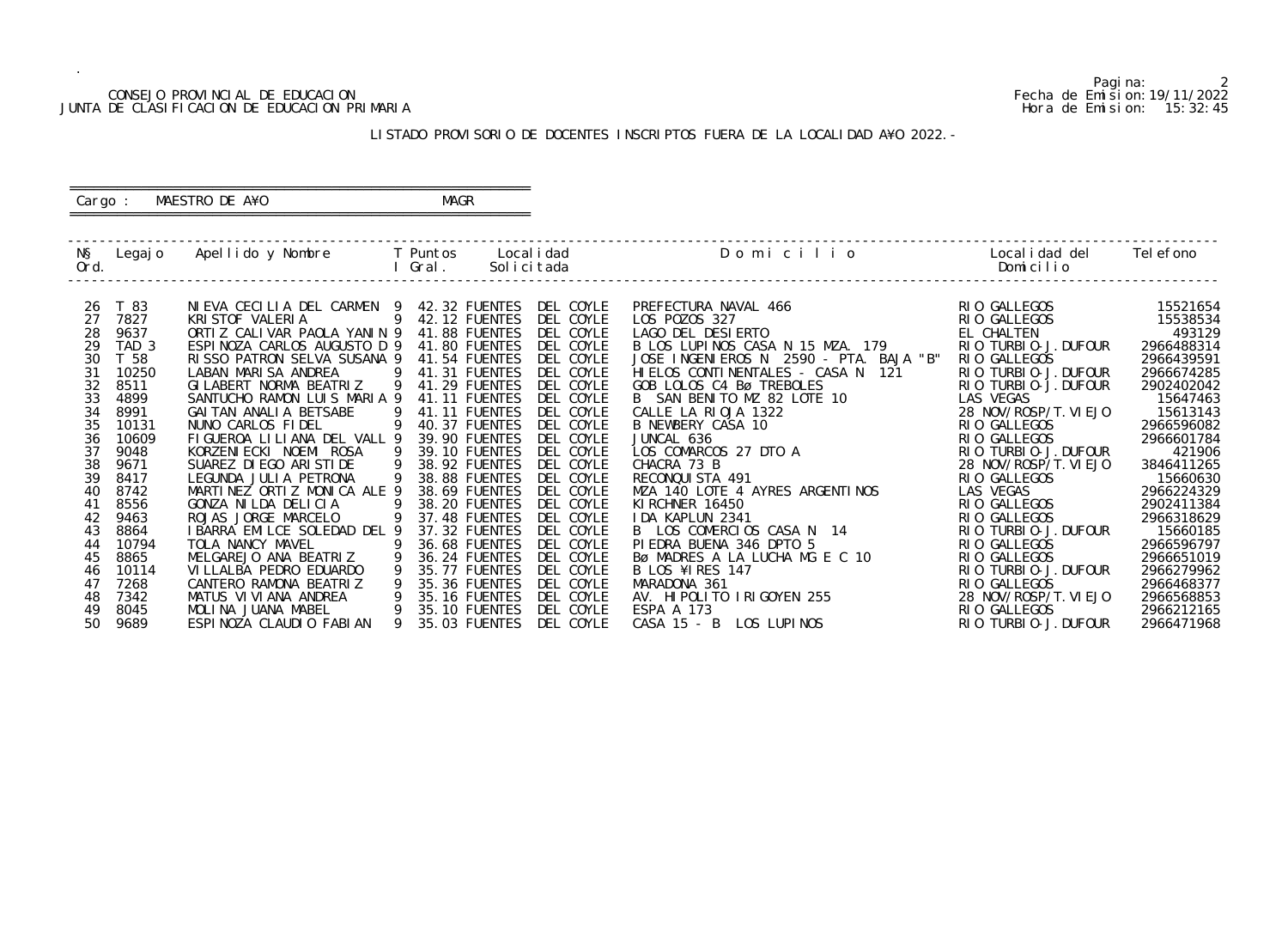#### CONSEJO PROVINCIAL DE EDUCACION Fecha de Emision:19/11/2022 JUNTA DE CLASIFICACION DE EDUCACION PRIMARIA Hora de Emision: 15:32:45

# ========================================================== Cargo : MAESTRO DE A¥O **MAGR**

## LISTADO PROVISORIO DE DOCENTES INSCRIPTOS FUERA DE LA LOCALIDAD A¥O 2022.-

==========================================================

| NŞ<br>Ord. | Legaj o          | Apellido y Nombre                         |                     | <b>T</b> Puntos<br>Gral.       | Local i dad<br>Solicitada | Domicilio                              | Local i dad del<br>Domicilio | Tel efono  |
|------------|------------------|-------------------------------------------|---------------------|--------------------------------|---------------------------|----------------------------------------|------------------------------|------------|
|            |                  |                                           |                     |                                |                           |                                        |                              |            |
| 26         | T 83             | NIEVA CECILIA DEL CARMEN 9                | 9                   | 42.32 FUENTES                  | DEL COYLE                 | PREFECTURA NAVAL 466                   | RIO GALLEGOS                 | 15521654   |
| 27         | 7827             | KRISTOF VALERIA                           |                     | 42.12 FUENTES                  | DEL COYLE                 | LOS POZOS 327                          | RIO GALLEGOS                 | 15538534   |
| 28         | 9637             | ORTIZ CALIVAR PAOLA YANIN 9               |                     | 41.88 FUENTES                  | DEL COYLE                 | LAGO DEL DESIERTO                      | EL CHALTEN                   | 493129     |
| 29         | TAD <sub>3</sub> | ESPINOZA CARLOS AUGUSTO D 9               |                     | 41.80 FUENTES                  | DEL COYLE                 | B LOS LUPINOS CASA N 15 MZA. 179       | RIO TURBIO-J. DUFOUR         | 2966488314 |
| 30         | T 58             | RISSO PATRON SELVA SUSANA 9               |                     | 41.54 FUENTES                  | DEL COYLE                 | JOSE INGENIEROS N 2590 - PTA. BAJA "B" | RIO GALLEGOS                 | 2966439591 |
| 31         | 10250            | LABAN MARISA ANDREA                       | - 9                 | 41.31 FUENTES                  | DEL COYLE                 | HI ELOS CONTINENTALES - CASA N<br>121  | RIO TURBIO-J. DUFOUR         | 2966674285 |
| 32<br>33   | 8511             | GI LABERT NORMA BEATRIZ                   | - 9                 | 41.29 FUENTES                  | DEL COYLE<br>DEL COYLE    | GOB LOLOS C4 Bø TREBOLES               | RIO TURBIO-J. DUFOUR         | 2902402042 |
|            | 4899             | SANTUCHO RAMON LUIS MARIA 9               |                     | 41.11 FUENTES                  |                           | B SAN BENITO MZ 82 LOTE 10             | LAS VEGAS                    | 15647463   |
| 34         | 8991             | GAI TAN ANALI A BETSABE                   | - 9<br>9            | 41.11 FUENTES                  | DEL COYLE                 | CALLE LA RIOJA 1322                    | 28 NOV/ROSP/T. VI EJO        | 15613143   |
| 35         | 10131            | NUNO CARLOS FIDEL                         |                     | 40.37 FUENTES                  | DEL COYLE                 | B NEWBERY CASA 10                      | RIO GALLEGOS                 | 2966596082 |
| 36         | 10609            | FIGUEROA LILIANA DEL VALL 9               |                     | 39.90 FUENTES                  | DEL COYLE                 | JUNCAL 636                             | RIO GALLEGOS                 | 2966601784 |
| 37         | 9048             | KORZENI ECKI NOEMI ROSA                   | - 9                 | 39.10 FUENTES                  | DEL COYLE                 | LOS COMARCOS 27 DTO A                  | RIO TURBIO-J. DUFOUR         | 421906     |
| 38<br>39   | 9671             | SUAREZ DI EGO ARI STI DE                  | 9<br>$\overline{9}$ | 38.92 FUENTES                  | DEL COYLE                 | CHACRA 73 B                            | 28 NOV/ROSP/T. VI EJO        | 3846411265 |
|            | 8417             | LEGUNDA JULIA PETRONA                     |                     | 38.88 FUENTES                  | DEL COYLE                 | RECONQUISTA 491                        | RIO GALLEGOS                 | 15660630   |
| 40         | 8742             | MARTINEZ ORTIZ MONICA ALE 9               |                     | 38.69 FUENTES                  | DEL COYLE                 | MZA 140 LOTE 4 AYRES ARGENTINOS        | LAS VEGAS                    | 2966224329 |
| 41         | 8556             | GONZA NI LDA DELICIA                      | -9                  | 38.20 FUENTES                  | DEL COYLE                 | KI RCHNER 16450                        | RIO GALLEGOS                 | 2902411384 |
| 42         | 9463             | ROJAS JORGE MARCELO                       | 9                   | 37.48 FUENTES<br>37.32 FUENTES | DEL COYLE                 | IDA KAPLUN 2341                        | RIO GALLEGOS                 | 2966318629 |
| 43         | 8864             | I BARRA EMILCE SOLEDAD DEL 9              |                     |                                | DEL COYLE                 | B LOS COMERCIOS CASA N 14              | RIO TURBIO-J. DUFOUR         | 15660185   |
| 44<br>45   | 10794            | TOLA NANCY MAVEL<br>MELGAREJO ANA BEATRIZ |                     | 36.68 FUENTES<br>36.24 FUENTES | DEL COYLE<br>DEL COYLE    | PIEDRA BUENA 346 DPTO 5                | RIO GALLEGOS                 | 2966596797 |
|            | 8865             |                                           | $\overline{9}$<br>9 |                                |                           | BØ MADRES A LA LUCHA MG E C 10         | RIO GALLEGOS                 | 2966651019 |
| 46         | 10114            | VI LLALBA PEDRO EDUARDO                   | 9                   | 35.77 FUENTES                  | DEL COYLE                 | B LOS ¥IRES 147                        | RIO TURBIO-J. DUFOUR         | 2966279962 |
| 47         | 7268             | CANTERO RAMONA BEATRIZ                    |                     | 35.36 FUENTES                  | DEL COYLE                 | MARADONA 361                           | RIO GALLEGOS                 | 2966468377 |
| 48         | 7342             | MATUS VI VI ANA ANDREA                    |                     | 35.16 FUENTES                  | DEL COYLE                 | AV. HIPOLITO IRIGOYEN 255              | 28 NOV/ROSP/T. VI EJO        | 2966568853 |
| 49         | 8045             | MOLINA JUANA MABEL                        | 9                   | 35.10 FUENTES                  | DEL COYLE                 | ESPA A 173                             | RIO GALLEGOS                 | 2966212165 |
| 50         | 9689             | ESPINOZA CLAUDIO FABIAN                   | 9                   | 35.03 FUENTES                  | DEL COYLE                 | CASA 15 - B LOS LUPINOS                | RIO TURBIO-J. DUFOUR         | 2966471968 |

Pagina: 2<br>Fecha de Emision: 19/11/2022<br>Hora de Emision: 15: 32: 45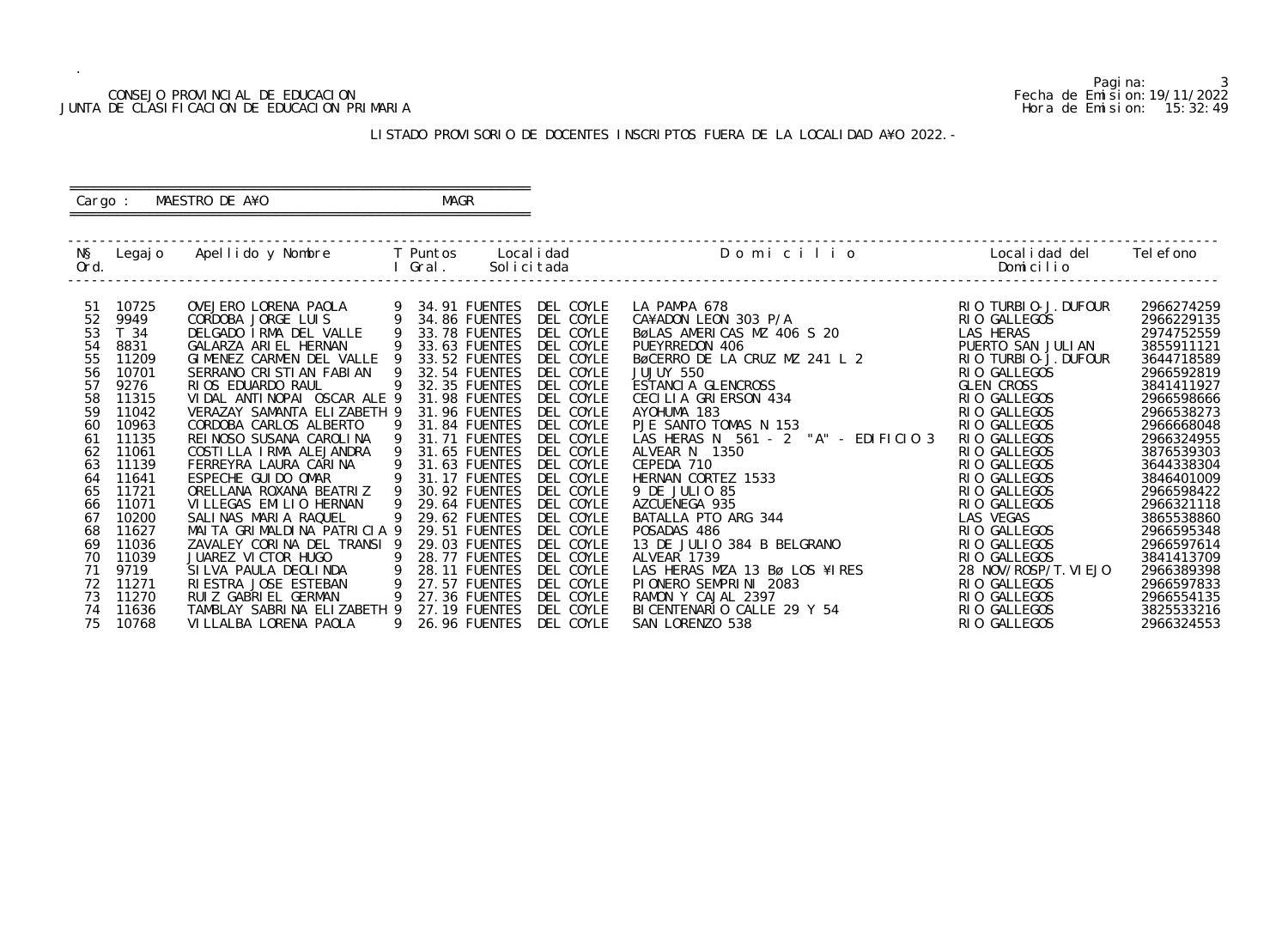#### CONSEJO PROVINCIAL DE EDUCACION Fecha de Emision:19/11/2022 JUNTA DE CLASIFICACION DE EDUCACION PRIMARIA Hora de Emision: 15:32:49

 ========================================================== Cargo : MAESTRO DE A¥O **MAGR** 

## LISTADO PROVISORIO DE DOCENTES INSCRIPTOS FUERA DE LA LOCALIDAD A¥O 2022.-

==========================================================

| NŞ   | Legaj o | Apellido y Nombre           |   | T Puntos             | Local i dad | Domicilio                            | Local i dad del       | Tel efono  |
|------|---------|-----------------------------|---|----------------------|-------------|--------------------------------------|-----------------------|------------|
| Ord. |         |                             |   | Gral.                | Solicitada  |                                      | Domicilio             |            |
|      |         |                             |   |                      |             |                                      |                       |            |
| -51  | 10725   | OVEJERO LORENA PAOLA        |   | 34.91 FUENTES        | DEL COYLE   | LA PAMPA 678                         | RIO TURBIO-J. DUFOUR  | 2966274259 |
| 52   | 9949    | CORDOBA JORGE LUIS          |   | 34.86 FUENTES        | DEL COYLE   | CA¥ADON LEON 303 P/A                 | RIO GALLEGOS          | 2966229135 |
| 53   | T 34    | DELGADO IRMA DEL VALLE      | 9 | 33.78 FUENTES        | DEL COYLE   | BøLAS AMERICAS MZ 406 S 20           | LAS HERAS             | 2974752559 |
| 54   | 8831    | GALARZA ARIEL HERNAN        | 9 | 33.63 FUENTES        | DEL COYLE   | PUEYRREDON 406                       | PUERTO SAN JULIAN     | 3855911121 |
| 55   | 11209   | GIMENEZ CARMEN DEL VALLE    | 9 | 33.52 FUENTES        | DEL COYLE   | BØCERRO DE LA CRUZ MZ 241 L 2        | RIO TURBIO-J. DUFOUR  | 3644718589 |
| 56   | 10701   | SERRANO CRISTIAN FABIAN     | 9 | 32.54 FUENTES        | DEL COYLE   | JUJUY 550                            | RIO GALLEGOS          | 2966592819 |
| 57   | 9276    | RIOS EDUARDO RAUL           | 9 | 32.35 FUENTES        | DEL COYLE   | ESTANCIA GLENCROSS                   | <b>GLEN CROSS</b>     | 3841411927 |
| 58   | 11315   | VIDAL ANTINOPAI OSCAR ALE 9 |   | 31.98 FUENTES        | DEL COYLE   | CECILIA GRIERSON 434                 | RIO GALLEGOS          | 2966598666 |
| 59   | 11042   | VERAZAY SAMANTA ELIZABETH 9 |   | 31.96 FUENTES        | DEL COYLE   | AYOHUMA 183                          | RIO GALLEGOS          | 2966538273 |
| 60   | 10963   | CORDOBA CARLOS ALBERTO      | 9 | 31.84 FUENTES        | DEL COYLE   | PJE SANTO TOMAS N 153                | RIO GALLEGOS          | 2966668048 |
| 61   | 11135   | REI NOSO SUSANA CAROLINA    | 9 | 31.71 FUENTES        | DEL COYLE   | LAS HERAS N 561 - 2 "A" - EDIFICIO 3 | RIO GALLEGOS          | 2966324955 |
| 62   | 11061   | COSTILLA IRMA ALEJANDRA     | 9 | 31.65 FUENTES        | DEL COYLE   | ALVEAR N 1350                        | RIO GALLEGOS          | 3876539303 |
| 63   | 11139   | FERREYRA LAURA CARINA       | 9 | 31.63 FUENTES        | DEL COYLE   | CEPEDA 710                           | RIO GALLEGOS          | 3644338304 |
| 64   | 11641   | ESPECHE GUI DO OMAR         | 9 | 31.17 FUENTES        | DEL COYLE   | HERNAN CORTEZ 1533                   | RIO GALLEGOS          | 3846401009 |
| 65   | 11721   | ORELLANA ROXANA BEATRIZ     |   | 30.92 FUENTES        | DEL COYLE   | 9 DE JULIO 85                        | RIO GALLEGOS          | 2966598422 |
| 66   | 11071   | VILLEGAS EMILIO HERNAN      | 9 | <b>29.64 FUENTES</b> | DEL COYLE   | AZCUENEGA 935                        | RIO GALLEGOS          | 2966321118 |
| 67   | 10200   | SALINAS MARIA RAQUEL        | 9 | 29.62 FUENTES        | DEL COYLE   | BATALLA PTO ARG 344                  | LAS VEGAS             | 3865538860 |
| 68   | 11627   | MAITA GRIMALDINA PATRICIA 9 |   | 29.51 FUENTES        | DEL COYLE   | POSADAS 486                          | RIO GALLEGOS          | 2966595348 |
| 69   | 11036   | ZAVALEY CORINA DEL TRANSI 9 |   | 29.03 FUENTES        | DEL COYLE   | 13 DE JULIO 384 B BELGRANO           | RIO GALLEGOS          | 2966597614 |
| 70   | 11039   | JUAREZ VICTOR HUGO          | 9 | 28.77 FUENTES        | DEL COYLE   | ALVEAR 1739                          | RIO GALLEGOS          | 3841413709 |
| 71   | 9719    | SILVA PAULA DEOLINDA        |   | <b>28.11 FUENTES</b> | DEL COYLE   | LAS HERAS MZA 13 Bø LOS ¥IRES        | 28 NOV/ROSP/T. VI EJO | 2966389398 |
| 72   | 11271   | RI ESTRA JOSE ESTEBAN       | 9 | <b>27.57 FUENTES</b> | DEL COYLE   | PIONERO SEMPRINI 2083                | RIO GALLEGOS          | 2966597833 |
| 73   | 11270   | RUIZ GABRIEL GERMAN         | 9 | 27.36 FUENTES        | DEL COYLE   | RAMON Y CAJAL 2397                   | RIO GALLEGOS          | 2966554135 |
| 74   | 11636   | TAMBLAY SABRINA ELIZABETH 9 |   | <b>27.19 FUENTES</b> | DEL COYLE   | BI CENTENARIO CALLE 29 Y 54          | RIO GALLEGOS          | 3825533216 |
| 75   | 10768   | VI LLALBA LORENA PAOLA      | 9 | <b>26.96 FUENTES</b> | DEL COYLE   | SAN LORENZO 538                      | RIO GALLEGOS          | 2966324553 |

Pagina: 3<br>Fecha de Emision: 19/11/2022<br>Hora de Emision: 15: 32: 49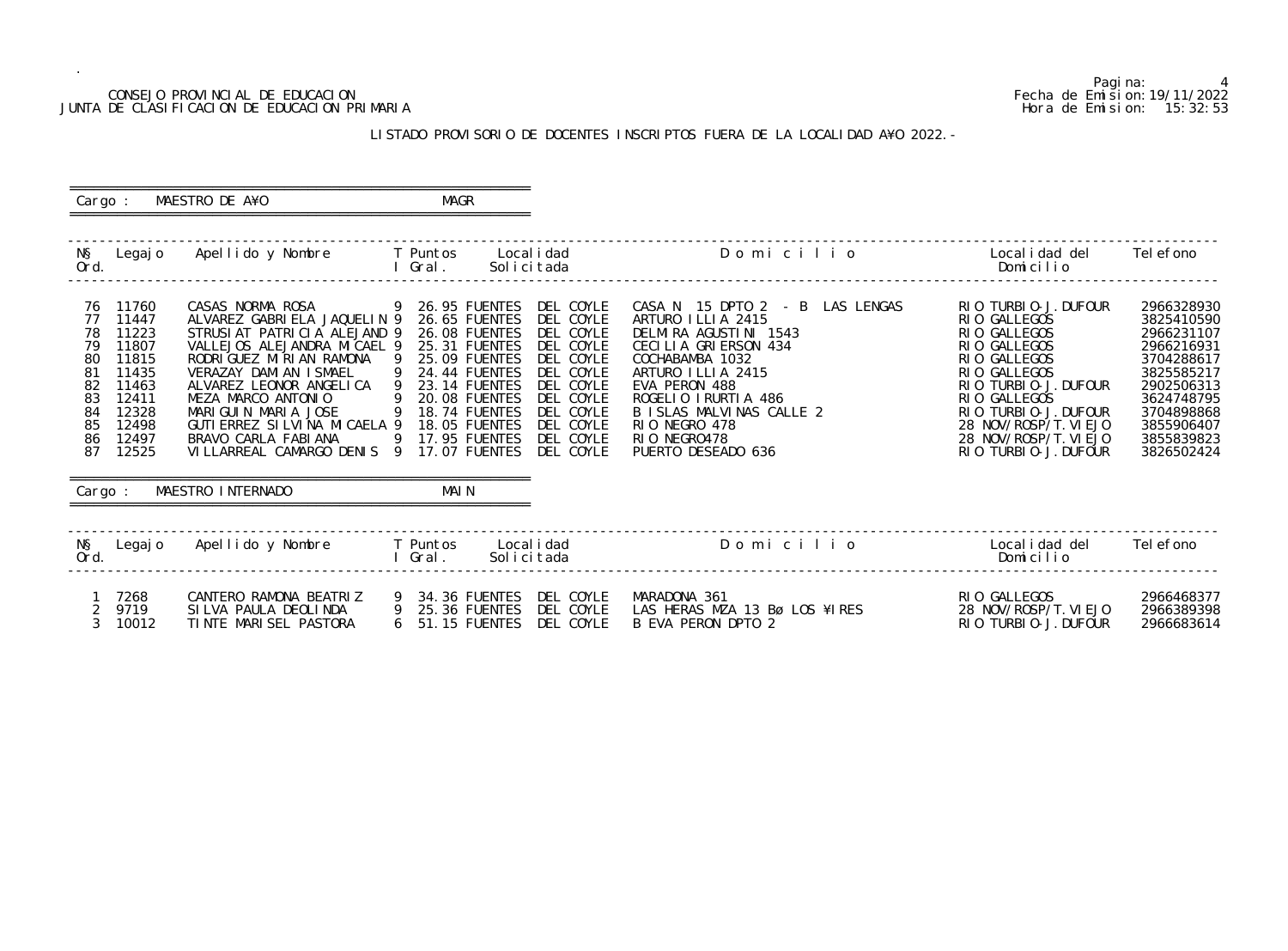## CONSEJO PROVINCIAL DE EDUCACION Fecha de Emision:19/11/2022 JUNTA DE CLASIFICACION DE EDUCACION PRIMARIA

Pagina: 4

|               | Localidad del                                                                                                                                                                                                                                                                                                             | Tel efono                                                                                                                                                            |
|---------------|---------------------------------------------------------------------------------------------------------------------------------------------------------------------------------------------------------------------------------------------------------------------------------------------------------------------------|----------------------------------------------------------------------------------------------------------------------------------------------------------------------|
| O             | Domicilio                                                                                                                                                                                                                                                                                                                 |                                                                                                                                                                      |
| <b>LENGAS</b> | TURBI 0-J. DUFOUR<br>RI 0<br><b>GALLEGOS</b><br>RI 0<br><b>GALLEGOS</b><br>RI 0<br><b>GALLEGOS</b><br>RI 0<br><b>GALLEGOS</b><br>RI 0<br><b>GALLEGOS</b><br>RI 0<br>TURBIO-J. DUFOUR<br>RI 0<br><b>GALLEGOS</b><br>RI 0<br>RIO TURBIO-J. DUFOUR<br>28 NOV/ROSP/T. VI EJO<br>28 NOV/ROSP/T. VI EJO<br>RIO TURBIO-J. DUFOUR | 2966328930<br>3825410590<br>2966231107<br>2966216931<br>3704288617<br>3825585217<br>2902506313<br>3624748795<br>3704898868<br>3855906407<br>3855839823<br>3826502424 |
| O             | ocalidad del.                                                                                                                                                                                                                                                                                                             | Tel efono                                                                                                                                                            |

| ES | RIO GALLEGOS<br>28 NOV/ROSP/T. VI EJO | 2966468377<br>2966389398 |
|----|---------------------------------------|--------------------------|
|    | $RIO$ TURBIO-J. DUFOUR                | 2966683614               |

 ========================================================== Cargo : MAESTRO DE A¥O **MAGR**  ========================================================== ------------------------------------------------------------------------------------------------------------------------------------------------- N§ Legajo Apellido y Nombre T Puntos Localidad D o m i c i l i o Localidad del Telefono Ord. I Gral. Solicitada Domicilio ------------------------------------------------------------------------------------------------------------------------------------------------- 76 11760 CASAS NORMA ROSA 9 26.95 FUENTES DEL COYLE CASA N 15 DPTO 2 - B LAS<br>77 11447 ALVAREZ GABRIELA JAQUELIN 9 26.65 FUENTES DEL COYLE ARTURO ILLIA 2415 77 11447 ALVAREZ GABRIELA JAQUELIN 9 26.65 FUENTES DEL COYLE ARTURO ILLIA 2415 RIO GALLEGOS 3825410590 78 11223 STRUSIAT PATRICIA ALEJAND 9 26.08 FUENTES DEL COYLE DELMIRA AGUSTINI 1543 RIO GALLEGOS 2966231107 79 11807 VALLEJOS ALEJANDRA MICAEL 9 25.31 FUENTES DEL COYLE CECILIA GRIERSON 434<br>80 11815 RODRIGUEZ MIRIAN RAMONA 9 25.09 FUENTES DEL COYLE COCHABAMBA 1032 80 11815 RODRIGUEZ MIRIAN RAMONA 9 25.09 FUENTES DEL COYLE COCHABAMBA 1032<br>81 11435 VERAZAY DAMIAN ISMAEL 9 24.44 FUENTES DEL COYLE ARTURO ILLIA 2415 81 11435 VERAZAY DAMIAN ISMAEL 9 24.44 FUENTES DEL COYLE ARTURO ILLIA 2415 RIO GALLEGOS 3825585217 82 11463 ALVAREZ LEONOR ANGELICA 9 23.14 FUENTES DEL COYLE EVA PERON 488 RIO TURBIO-J.DUFOUR 2902506313 83 12411 MEZA MARCO ANTONIO 9 20.08 FUENTES DEL COYLE ROGELIO IRURTIA 486 RIO GALLEGOS 3624748795 84 12328 MARIGUIN MARIA JOSE 9 18.74 FUENTES DEL COYLE BISLAS MALVINAS CALLE 2 199900011 RIO TURBIO-J.DUFOUR 3704898868 85 12498 GUTIERREZ SILVINA MICAELA 9 18.05 FUENTES DEL COYLE RIO NEGRO 478<br>86 12497 BRAVO CARLA FABIANA 9 17.95 FUENTES DEL COYLE RIO NEGRO478 86 12497 BRAVO CARLA FABIANA 9 17.95 FUENTES DEL COYLE RIO NEGRO478 28 NOV/ROSP/T.VIEJO 3855839823 87 12525 VILLARREAL CAMARGO DENIS 9 17.07 FUENTES DEL COYLE PUERTO DESEADO 636 RIO TURBIO-J.DUFOUR 3826502424 ========================================================== Cargo : MAESTRO INTERNADO ========================================================== ------------------------------------------------------------------------------------------------------------------------------------------------- N§ Legajo Apellido y Nombre T Puntos Localidad D o m i c i l i o Localidad del Telefono Ord. I Gral. Solicitada Domicilio ------------------------------------------------------------------------------------------------------------------------------------------------- 1 7268 CANTERO RAMONA BEATRIZ 9 34.36 FUENTES DEL COYLE MARADONA 361 RIO GALLEGOS 2966468377 2 9719 SILVA PAULA DEOLINDA 9 25.36 FUENTES DEL COYLE LAS HERAS MZA 13 Bø LOS ¥IRES 28 NOV/ROSP/T.VIEJO 2966389398 3 10012 TINTE MARISEL PASTORA 6 51.15 FUENTES DEL COYLE B EVA PERON DPTO 2 RIO TURBIO-J.DUFOUR 2966683614

#### LISTADO PROVISORIO DE DOCENTES INSCRIPTOS FUERA DE LA LOCALIDAD A¥O 2022.-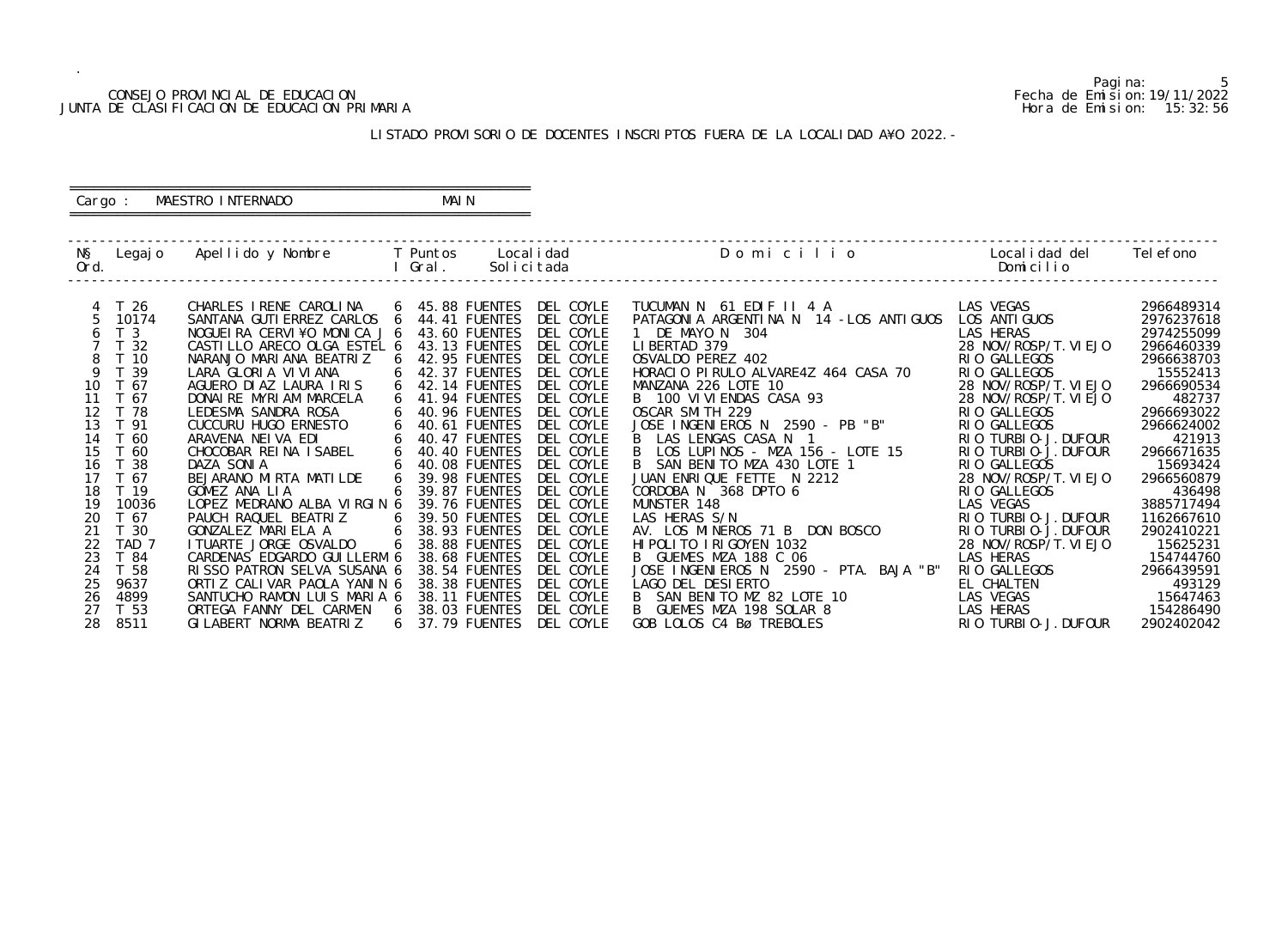#### CONSEJO PROVINCIAL DE EDUCACION Fecha de Emision:19/11/2022 JUNTA DE CLASIFICACION DE EDUCACION PRIMARIA Hora de Emision: 15:32:56

## ========================================================== Cargo : MAESTRO INTERNADO MAIN

## LISTADO PROVISORIO DE DOCENTES INSCRIPTOS FUERA DE LA LOCALIDAD A¥O 2022.-

==========================================================

| NŞ<br>Ord. | Legaj o          | Apellido y Nombre            |   | T Puntos<br>Gral. | Local i dad<br>Solicitada | Domicilio                                 | Local i dad del<br>Domicilio | Tel efono  |
|------------|------------------|------------------------------|---|-------------------|---------------------------|-------------------------------------------|------------------------------|------------|
|            | T 26             | CHARLES IRENE CAROLINA       |   | 6 45.88 FUENTES   | DEL COYLE                 | TUCUMAN N 61 EDIF II 4 A                  | LAS VEGAS                    | 2966489314 |
|            | 10174            | SANTANA GUTI ERREZ CARLOS 6  |   | 44.41 FUENTES     | DEL COYLE                 | PATAGONIA ARGENTINA N 14 - LOS ANTIGUOS   | LOS ANTI GUOS                | 2976237618 |
|            | T <sub>3</sub>   | NOGUEIRA CERVI¥O MONICA J 6  |   | 43.60 FUENTES     | DEL COYLE                 | 1 DE MAYO N 304                           | LAS HERAS                    | 2974255099 |
|            | T 32             | CASTILLO ARECO OLGA ESTEL 6  |   | 43.13 FUENTES     | DEL COYLE                 | LIBERTAD 379                              | 28 NOV/ROSP/T. VIEJO         | 2966460339 |
| 8          | T <sub>10</sub>  | NARANJO MARIANA BEATRIZ      |   | 42.95 FUENTES     | DEL COYLE                 | OSVALDO PEREZ 402                         | RIO GALLEGOS                 | 2966638703 |
| 9          | T 39             | LARA GLORIA VIVIANA          |   | 42.37 FUENTES     | DEL COYLE                 | HORACIO PIRULO ALVARE4Z 464 CASA 70       | RIO GALLEGOS                 | 15552413   |
| 10         | T 67             | AGUERO DIAZ LAURA IRIS       | 6 | 42.14 FUENTES     | DEL COYLE                 | MANZANA 226 LOTE 10                       | 28 NOV/ROSP/T. VI EJO        | 2966690534 |
| 11         | T 67             | DONAIRE MYRIAM MARCELA       |   | 41.94 FUENTES     | DEL COYLE                 | B 100 VI VI ENDAS CASA 93                 | 28 NOV/ROSP/T. VI EJO        | 482737     |
| 12         | T 78             | LEDESMA SANDRA ROSA          |   | 40.96 FUENTES     | DEL COYLE                 | OSCAR SMITH 229                           | RIO GALLEGOS                 | 2966693022 |
| 13         | T 91             | CUCCURU HUGO ERNESTO         | 6 | 40.61 FUENTES     | DEL COYLE                 | JOSE INGENIEROS N 2590 - PB "B"           | RIO GALLEGOS                 | 2966624002 |
| 14         | T 60             | ARAVENA NEIVA EDI            |   | 40.47 FUENTES     | DEL COYLE                 | LAS LENGAS CASA N 1                       | RIO TURBIO-J. DUFOUR         | 421913     |
| 15         | T 60             | CHOCOBAR REINA ISABEL        |   | 40.40 FUENTES     | DEL COYLE                 | LOS LUPINOS - MZA 156 - LOTE 15           | RIO TURBIO-J. DUFOUR         | 2966671635 |
| 16         | -38              | DAZA SONIA                   |   | 40.08 FUENTES     | DEL COYLE                 | B SAN BENITO MZA 430 LOTE 1               | RIO GALLEGOS                 | 15693424   |
| 17         | T 67             | BEJARANO MIRTA MATILDE       | 6 | 39.98 FUENTES     | DEL COYLE                 | JUAN ENRIQUE FETTE N 2212                 | 28 NOV/ROSP/T. VI EJO        | 2966560879 |
| 18         | T <sub>19</sub>  | GOMEZ ANA LIA                |   | 39.87 FUENTES     | DEL COYLE                 | CORDOBA N 368 DPTO 6                      | RIO GALLEGOS                 | 436498     |
| 19         | 10036            | LOPEZ MEDRANO ALBA VIRGIN 6  |   | 39.76 FUENTES     | DEL COYLE                 | MUNSTER 148                               | LAS VEGAS                    | 3885717494 |
| 20         | T 67             | PAUCH RAQUEL BEATRIZ         |   | 39.50 FUENTES     | DEL COYLE                 | LAS HERAS S/N                             | RIO TURBIO-J. DUFOUR         | 1162667610 |
| 21         | T 30             | GONZALEZ MARIELA A           | 6 | 38.93 FUENTES     | DEL COYLE                 | AV. LOS MINEROS 71 B DON BOSCO            | RIO TURBIO-J. DUFOUR         | 2902410221 |
| 22         | TAD <sub>7</sub> | I TUARTE JORGE OSVALDO       |   | 38.88 FUENTES     | DEL COYLE                 | HI POLITO I RI GOYEN 1032                 | 28 NOV/ROSP/T. VIEJO         | 15625231   |
| 23         | T 84             | CARDENAS EDGARDO GUI LLERM 6 |   | 38.68 FUENTES     | DEL COYLE                 | B GUEMES MZA 188 C 06                     | LAS HERAS                    | 154744760  |
| 24         | T 58             | RISSO PATRON SELVA SUSANA 6  |   | 38.54 FUENTES     | DEL COYLE                 | 2590 - PTA. BAJA "B"<br>JOSE INGENIEROS N | RIO GALLEGOS                 | 2966439591 |
| 25         | 9637             | ORTIZ CALIVAR PAOLA YANIN 6  |   | 38.38 FUENTES     | DEL COYLE                 | LAGO DEL DESIERTO                         | EL CHALTEN                   | 493129     |
| 26         | 4899             | SANTUCHO RAMON LUIS MARIA 6  |   | 38.11 FUENTES     | DEL COYLE                 | SAN BENITO MZ 82 LOTE 10                  | LAS VEGAS                    | 15647463   |
| 27         | T 53             | ORTEGA FANNY DEL CARMEN      |   | 38.03 FUENTES     | DEL COYLE                 | GUEMES MZA 198 SOLAR 8                    | LAS HERAS                    | 154286490  |
| 28         | 8511             | GI LABERT NORMA BEATRIZ      |   | 37.79 FUENTES     | DEL COYLE                 | GOB LOLOS C4 Bø TREBOLES                  | RIO TURBIO-J. DUFOUR         | 2902402042 |

5<br>Fecha de Emision: 19/11/2022<br>Hora de Emision: 15: 32: 56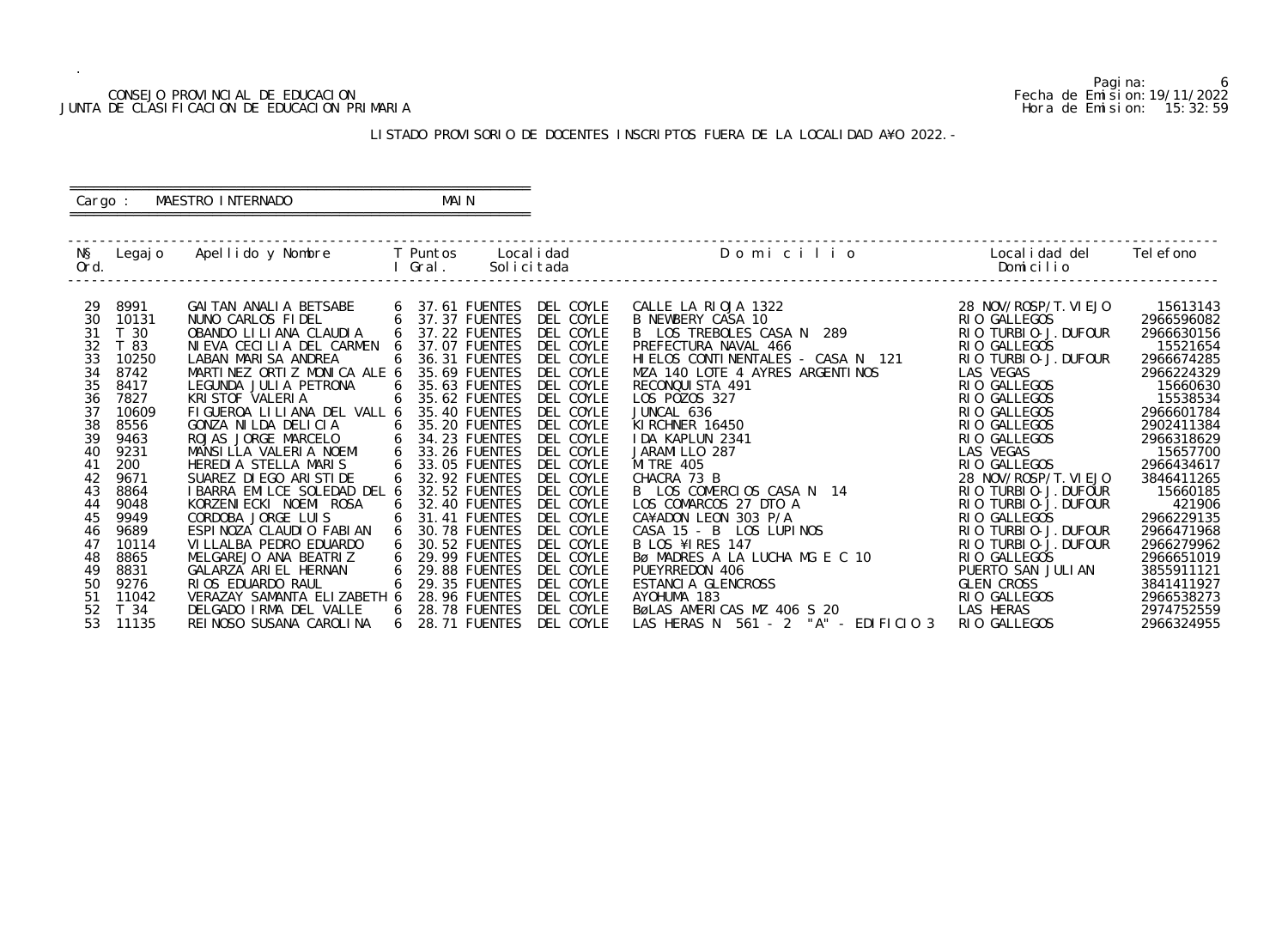#### CONSEJO PROVINCIAL DE EDUCACION Fecha de Emision:19/11/2022 JUNTA DE CLASIFICACION DE EDUCACION PRIMARIA Hora de Emision: 15:32:59

## ========================================================== Cargo : MAESTRO INTERNADO MAIN

## LISTADO PROVISORIO DE DOCENTES INSCRIPTOS FUERA DE LA LOCALIDAD A¥O 2022.-

==========================================================

| Legaj o | Apellido y Nombre                                                                                              |                                                                                                                                                                                                                                                  |                                                                                                                             |                                                                                                                                                                                                                                   | Domicilio                                                                                                                                                                                                                                                                                                     | Local i dad del<br>Domicilio                                                                                                                                                                                                                                                                   | Tel efono                                                                                                                                                                                                                               |
|---------|----------------------------------------------------------------------------------------------------------------|--------------------------------------------------------------------------------------------------------------------------------------------------------------------------------------------------------------------------------------------------|-----------------------------------------------------------------------------------------------------------------------------|-----------------------------------------------------------------------------------------------------------------------------------------------------------------------------------------------------------------------------------|---------------------------------------------------------------------------------------------------------------------------------------------------------------------------------------------------------------------------------------------------------------------------------------------------------------|------------------------------------------------------------------------------------------------------------------------------------------------------------------------------------------------------------------------------------------------------------------------------------------------|-----------------------------------------------------------------------------------------------------------------------------------------------------------------------------------------------------------------------------------------|
|         |                                                                                                                |                                                                                                                                                                                                                                                  |                                                                                                                             |                                                                                                                                                                                                                                   |                                                                                                                                                                                                                                                                                                               |                                                                                                                                                                                                                                                                                                |                                                                                                                                                                                                                                         |
|         |                                                                                                                |                                                                                                                                                                                                                                                  |                                                                                                                             |                                                                                                                                                                                                                                   |                                                                                                                                                                                                                                                                                                               |                                                                                                                                                                                                                                                                                                | 15613143                                                                                                                                                                                                                                |
|         |                                                                                                                |                                                                                                                                                                                                                                                  |                                                                                                                             |                                                                                                                                                                                                                                   |                                                                                                                                                                                                                                                                                                               |                                                                                                                                                                                                                                                                                                | 2966596082                                                                                                                                                                                                                              |
|         |                                                                                                                |                                                                                                                                                                                                                                                  |                                                                                                                             |                                                                                                                                                                                                                                   |                                                                                                                                                                                                                                                                                                               |                                                                                                                                                                                                                                                                                                | 2966630156                                                                                                                                                                                                                              |
|         |                                                                                                                |                                                                                                                                                                                                                                                  |                                                                                                                             |                                                                                                                                                                                                                                   |                                                                                                                                                                                                                                                                                                               |                                                                                                                                                                                                                                                                                                | 15521654                                                                                                                                                                                                                                |
|         |                                                                                                                |                                                                                                                                                                                                                                                  |                                                                                                                             |                                                                                                                                                                                                                                   |                                                                                                                                                                                                                                                                                                               |                                                                                                                                                                                                                                                                                                | 2966674285                                                                                                                                                                                                                              |
|         |                                                                                                                |                                                                                                                                                                                                                                                  |                                                                                                                             |                                                                                                                                                                                                                                   |                                                                                                                                                                                                                                                                                                               |                                                                                                                                                                                                                                                                                                | 2966224329                                                                                                                                                                                                                              |
|         |                                                                                                                |                                                                                                                                                                                                                                                  |                                                                                                                             |                                                                                                                                                                                                                                   |                                                                                                                                                                                                                                                                                                               |                                                                                                                                                                                                                                                                                                | 15660630                                                                                                                                                                                                                                |
|         |                                                                                                                |                                                                                                                                                                                                                                                  |                                                                                                                             |                                                                                                                                                                                                                                   |                                                                                                                                                                                                                                                                                                               |                                                                                                                                                                                                                                                                                                | 15538534                                                                                                                                                                                                                                |
|         |                                                                                                                |                                                                                                                                                                                                                                                  |                                                                                                                             |                                                                                                                                                                                                                                   |                                                                                                                                                                                                                                                                                                               |                                                                                                                                                                                                                                                                                                | 2966601784                                                                                                                                                                                                                              |
|         |                                                                                                                | 6                                                                                                                                                                                                                                                |                                                                                                                             |                                                                                                                                                                                                                                   |                                                                                                                                                                                                                                                                                                               |                                                                                                                                                                                                                                                                                                | 2902411384                                                                                                                                                                                                                              |
|         |                                                                                                                |                                                                                                                                                                                                                                                  |                                                                                                                             |                                                                                                                                                                                                                                   |                                                                                                                                                                                                                                                                                                               |                                                                                                                                                                                                                                                                                                | 2966318629                                                                                                                                                                                                                              |
|         |                                                                                                                |                                                                                                                                                                                                                                                  |                                                                                                                             |                                                                                                                                                                                                                                   |                                                                                                                                                                                                                                                                                                               |                                                                                                                                                                                                                                                                                                | 15657700                                                                                                                                                                                                                                |
|         | HEREDIA STELLA MARIS                                                                                           | 6                                                                                                                                                                                                                                                | 33.05 FUENTES                                                                                                               |                                                                                                                                                                                                                                   | <b>MI TRE 405</b>                                                                                                                                                                                                                                                                                             | RIO GALLEGOS                                                                                                                                                                                                                                                                                   | 2966434617                                                                                                                                                                                                                              |
|         |                                                                                                                |                                                                                                                                                                                                                                                  |                                                                                                                             |                                                                                                                                                                                                                                   |                                                                                                                                                                                                                                                                                                               |                                                                                                                                                                                                                                                                                                | 3846411265                                                                                                                                                                                                                              |
| 8864    |                                                                                                                |                                                                                                                                                                                                                                                  | 32.52 FUENTES                                                                                                               | DEL COYLE                                                                                                                                                                                                                         | B LOS COMERCIOS CASA N 14                                                                                                                                                                                                                                                                                     | RIO TURBIO-J. DUFOUR                                                                                                                                                                                                                                                                           | 15660185                                                                                                                                                                                                                                |
| 9048    | KORZENI ECKI NOEMI ROSA                                                                                        |                                                                                                                                                                                                                                                  | 32.40 FUENTES                                                                                                               | DEL COYLE                                                                                                                                                                                                                         | LOS COMARCOS 27 DTO A                                                                                                                                                                                                                                                                                         | RIO TURBIO-J. DUFOUR                                                                                                                                                                                                                                                                           | 421906                                                                                                                                                                                                                                  |
| 9949    | CORDOBA JORGE LUIS                                                                                             |                                                                                                                                                                                                                                                  | 31.41 FUENTES                                                                                                               |                                                                                                                                                                                                                                   | CA¥ADON LEON 303 P/A                                                                                                                                                                                                                                                                                          | RIO GALLEGOS                                                                                                                                                                                                                                                                                   | 2966229135                                                                                                                                                                                                                              |
| 9689    | ESPINOZA CLAUDIO FABIAN                                                                                        |                                                                                                                                                                                                                                                  | 30.78 FUENTES                                                                                                               | DEL COYLE                                                                                                                                                                                                                         | CASA 15 - B LOS LUPINOS                                                                                                                                                                                                                                                                                       | RIO TURBIO-J. DUFOUR                                                                                                                                                                                                                                                                           | 2966471968                                                                                                                                                                                                                              |
| 10114   | VI LLALBA PEDRO EDUARDO                                                                                        |                                                                                                                                                                                                                                                  | 30.52 FUENTES                                                                                                               | DEL COYLE                                                                                                                                                                                                                         | <b>B LOS ¥IRES 147</b>                                                                                                                                                                                                                                                                                        | RIO TURBIO-J. DUFOUR                                                                                                                                                                                                                                                                           | 2966279962                                                                                                                                                                                                                              |
| 8865    | MELGAREJO ANA BEATRIZ                                                                                          |                                                                                                                                                                                                                                                  | 29.99 FUENTES                                                                                                               | DEL COYLE                                                                                                                                                                                                                         | BØ MADRES A LA LUCHA MG E C 10                                                                                                                                                                                                                                                                                | RIO GALLEGOS                                                                                                                                                                                                                                                                                   | 2966651019                                                                                                                                                                                                                              |
| 8831    | GALARZA ARIEL HERNAN                                                                                           | 6                                                                                                                                                                                                                                                | 29.88 FUENTES                                                                                                               | DEL COYLE                                                                                                                                                                                                                         | PUEYRREDON 406                                                                                                                                                                                                                                                                                                | PUERTO SAN JULIAN                                                                                                                                                                                                                                                                              | 3855911121                                                                                                                                                                                                                              |
| 9276    | RIOS EDUARDO RAUL                                                                                              |                                                                                                                                                                                                                                                  | 29.35 FUENTES                                                                                                               | DEL COYLE                                                                                                                                                                                                                         | ESTANCIA GLENCROSS                                                                                                                                                                                                                                                                                            | <b>GLEN CROSS</b>                                                                                                                                                                                                                                                                              | 3841411927                                                                                                                                                                                                                              |
| 11042   |                                                                                                                |                                                                                                                                                                                                                                                  | 28.96 FUENTES                                                                                                               | DEL COYLE                                                                                                                                                                                                                         | AYOHUMA 183                                                                                                                                                                                                                                                                                                   | RIO GALLEGOS                                                                                                                                                                                                                                                                                   | 2966538273                                                                                                                                                                                                                              |
| T 34    | DELGADO IRMA DEL VALLE                                                                                         |                                                                                                                                                                                                                                                  | 28.78 FUENTES                                                                                                               | DEL COYLE                                                                                                                                                                                                                         | BøLAS AMERICAS MZ 406 S 20                                                                                                                                                                                                                                                                                    | LAS HERAS                                                                                                                                                                                                                                                                                      | 2974752559                                                                                                                                                                                                                              |
| 11135   | REI NOSO SUSANA CAROLINA                                                                                       |                                                                                                                                                                                                                                                  | 28.71 FUENTES                                                                                                               | DEL COYLE                                                                                                                                                                                                                         | LAS HERAS N $561 - 2$ "A" - EDIFICIO 3                                                                                                                                                                                                                                                                        | RIO GALLEGOS                                                                                                                                                                                                                                                                                   | 2966324955                                                                                                                                                                                                                              |
|         | 8991<br>10131<br>T 30<br>T 83<br>10250<br>8742<br>8417<br>7827<br>10609<br>8556<br>9463<br>9231<br>200<br>9671 | GAI TAN ANALI A BETSABE<br>NUNO CARLOS FIDEL<br>OBANDO LI LI ANA CLAUDI A<br>LABAN MARISA ANDREA<br>LEGUNDA JULIA PETRONA<br>KRISTOF VALERIA<br>GONZA NILDA DELICIA<br>ROJAS JORGE MARCELO<br>MANSILLA VALERIA NOEMI<br>SUAREZ DI EGO ARI STI DE | NIEVA CECILIA DEL CARMEN<br>MARTINEZ ORTIZ MONICA ALE 6<br>6<br>I BARRA EMILCE SOLEDAD DEL 6<br>VERAZAY SAMANTA ELIZABETH 6 | T Puntos<br>Gral .<br>37.37 FUENTES<br>6<br>6<br>6<br>35.69 FUENTES<br>6<br>35.62 FUENTES<br>FIGUEROA LILIANA DEL VALL 6<br>35.40 FUENTES<br>35.20 FUENTES<br>34.23 FUENTES<br>6<br>33.26 FUENTES<br>6<br>32.92 FUENTES<br>6<br>6 | Local i dad<br>Solicitada<br>6 37.61 FUENTES DEL COYLE<br>DEL COYLE<br>37.22 FUENTES DEL COYLE<br>DEL COYLE<br>37.07 FUENTES<br>DEL COYLE<br>36.31 FUENTES<br>DEL COYLE<br>35.63 FUENTES<br>DEL COYLE<br>DEL COYLE<br>DEL COYLE<br>DEL COYLE<br>DEL COYLE<br>DEL COYLE<br>DEL COYLE<br>DEL COYLE<br>DEL COYLE | CALLE LA RIOJA 1322<br>B NEWBERY CASA 10<br>B LOS TREBOLES CASA N 289<br>PREFECTURA NAVAL 466<br>HIELOS CONTINENTALES - CASA N 121<br>MZA 140 LOTE 4 AYRES ARGENTINOS<br>RECONQUISTA 491<br>LOS POZOS 327<br>JUNCAL 636<br>KI RCHNER 16450<br>IDA KAPLUN 2341<br>JARAMI LLO 287<br>CHACRA 73 B | 28 NOV/ROSP/T. VI EJO<br>RIO GALLEGOS<br>RIO TURBIO-J. DUFOUR<br>RIO GALLEGOS<br>RIO TURBIO-J. DUFOUR<br>LAS VEGAS<br>RIO GALLEGOS<br>RIO GALLEGOS<br>RIO GALLEGOS<br>RIO GALLEGOS<br>RIO GALLEGOS<br>LAS VEGAS<br>28 NOV/ROSP/T. VIEJO |

6<br>Fecha de Emision: 19/11/2022<br>Hora de Emision: 15: 32: 59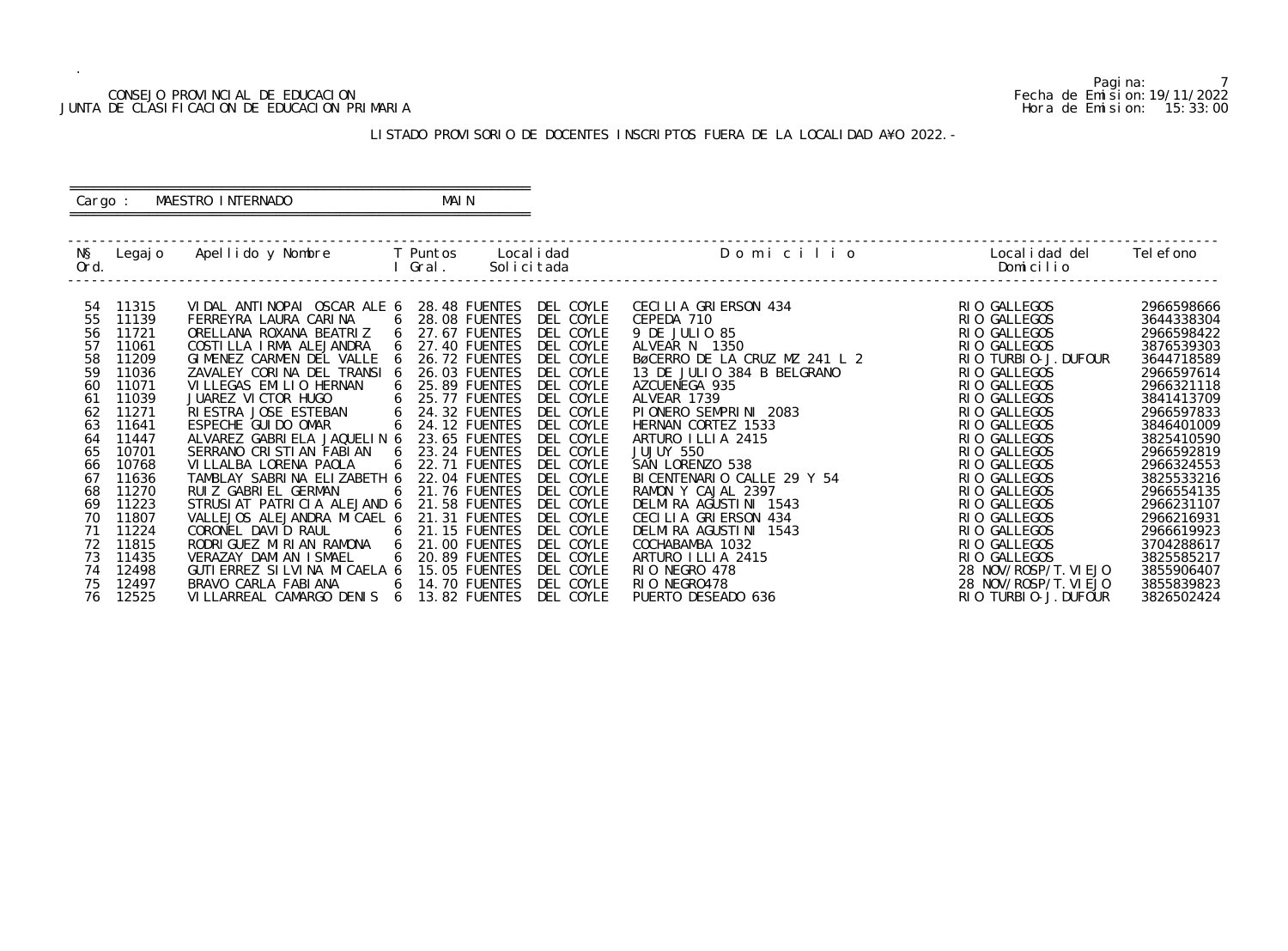#### CONSEJO PROVINCIAL DE EDUCACION Fecha de Emision:19/11/2022 JUNTA DE CLASIFICACION DE EDUCACION PRIMARIA Hora de Emision: 15:33:00

# ========================================================== Cargo : MAESTRO INTERNADO MAIN

## LISTADO PROVISORIO DE DOCENTES INSCRIPTOS FUERA DE LA LOCALIDAD A¥O 2022.-

==========================================================

| NŞ<br>Ord.                       | Legaj o                                            | Apellido y Nombre                                                                                                                                                     | <b>Example T</b> Puntos<br>I Gral.                                                                                            | Local i dad<br>Solicitada                                                  | Domicilio                                                                                                                           | Local i dad del<br>Domicilio                                                                                         | Tel efono                                                                        |
|----------------------------------|----------------------------------------------------|-----------------------------------------------------------------------------------------------------------------------------------------------------------------------|-------------------------------------------------------------------------------------------------------------------------------|----------------------------------------------------------------------------|-------------------------------------------------------------------------------------------------------------------------------------|----------------------------------------------------------------------------------------------------------------------|----------------------------------------------------------------------------------|
| 54<br>55<br>56<br>57<br>58<br>59 | 11315<br>11139<br>11721<br>11061<br>11209<br>11036 | VIDAL ANTINOPAI OSCAR ALE 6<br>FERREYRA LAURA CARINA<br>ORELLANA ROXANA BEATRIZ<br>COSTILLA IRMA ALEJANDRA<br>GIMENEZ CARMEN DEL VALLE<br>ZAVALEY CORINA DEL TRANSI 6 | 28.48 FUENTES<br>28.08 FUENTES<br>6<br>27.67 FUENTES<br>6<br>27.40 FUENTES<br><b>26.72 FUENTES</b><br>- 6<br>26.03 FUENTES    | DEL COYLE<br>DEL COYLE<br>DEL COYLE<br>DEL COYLE<br>DEL COYLE<br>DEL COYLE | CECILIA GRIERSON 434<br>CEPEDA 710<br>9 DE JULIO 85<br>ALVEAR N 1350<br>BØCERRO DE LA CRUZ MZ 241 L 2<br>13 DE JULIO 384 B BELGRANO | RIO GALLEGOS<br>RIO GALLEGOS<br>RIO GALLEGOS<br>RIO GALLEGOS<br>RIO TURBIO-J. DUFOUR<br>RIO GALLEGOS                 | 2966598666<br>3644338304<br>2966598422<br>3876539303<br>3644718589<br>2966597614 |
| 60<br>61<br>62<br>63<br>64       | 11071<br>11039<br>11271<br>11641<br>11447          | VI LLEGAS EMILIO HERNAN<br>JUAREZ VICTOR HUGO<br>RI ESTRA JOSE ESTEBAN<br>ESPECHE GUI DO OMAR<br>ALVAREZ GABRIELA JAQUELIN 6                                          | 25.89 FUENTES<br><b>25.77 FUENTES</b><br>6<br>24.32 FUENTES<br>6<br><b>24.12 FUENTES</b><br>6<br>23.65 FUENTES                | DEL COYLE<br>DEL COYLE<br>DEL COYLE<br>DEL COYLE<br>DEL COYLE              | AZCUENEGA 935<br>ALVEAR 1739<br>PIONERO SEMPRINI 2083<br>HERNAN CORTEZ 1533<br>ARTURO ILLIA 2415                                    | RIO GALLEGOS<br>RIO GALLEGOS<br>RIO GALLEGOS<br>RIO GALLEGOS<br>RIO GALLEGOS                                         | 2966321118<br>3841413709<br>2966597833<br>3846401009<br>3825410590               |
| 65<br>66<br>67<br>68<br>69<br>70 | 10701<br>10768<br>11636<br>11270<br>11223<br>11807 | SERRANO CRISTIAN FABIAN<br>VI LLALBA LORENA PAOLA<br>TAMBLAY SABRINA ELIZABETH 6<br>RUIZ GABRIEL GERMAN<br>STRUSIAT PATRICIA ALEJAND 6<br>VALLEJOS ALEJANDRA MICAEL 6 | 23.24 FUENTES<br>6<br><b>22.71 FUENTES</b><br>22.04 FUENTES<br>21.76 FUENTES<br>6<br>21.58 FUENTES<br>21.31 FUENTES           | DEL COYLE<br>DEL COYLE<br>DEL COYLE<br>DEL COYLE<br>DEL COYLE<br>DEL COYLE | JUJUY 550<br>SAN LORENZO 538<br>BI CENTENARIO CALLE 29 Y 54<br>RAMON Y CAJAL 2397<br>DELMIRA AGUSTINI 1543<br>CECILIA GRIERSON 434  | RIO GALLEGOS<br>RIO GALLEGOS<br>RIO GALLEGOS<br>RIO GALLEGOS<br>RIO GALLEGOS<br>RIO GALLEGOS                         | 2966592819<br>2966324553<br>3825533216<br>2966554135<br>2966231107<br>2966216931 |
| 71<br>72<br>73<br>74<br>75<br>76 | 11224<br>11815<br>11435<br>12498<br>12497<br>12525 | CORONEL DAVID RAUL<br>RODRI GUEZ MI RI AN RAMONA<br>VERAZAY DAMI AN I SMAEL<br>GUTI ERREZ SI LVI NA MI CAELA 6<br>BRAVO CARLA FABIANA<br>VILLARREAL CAMARGO DENIS 6   | 21.15 FUENTES<br>6<br>6<br>21.00 FUENTES<br>20.89 FUENTES<br>6<br>15.05 FUENTES<br><b>14.70 FUENTES</b><br>6<br>13.82 FUENTES | DEL COYLE<br>DEL COYLE<br>DEL COYLE<br>DEL COYLE<br>DEL COYLE<br>DEL COYLE | DELMIRA AGUSTINI 1543<br>COCHABAMBA 1032<br>ARTURO ILLIA 2415<br>RIO NEGRO 478<br>RIO NEGRO478<br>PUERTO DESEADO 636                | RIO GALLEGOS<br>RIO GALLEGOS<br>RIO GALLEGOS<br>28 NOV/ROSP/T. VIEJO<br>28 NOV/ROSP/T. VIEJO<br>RIO TURBIO-J. DUFOUR | 2966619923<br>3704288617<br>3825585217<br>3855906407<br>3855839823<br>3826502424 |

Pagina: 7<br>Fecha de Emision: 19/11/2022<br>Hora de Emision: 15:33:00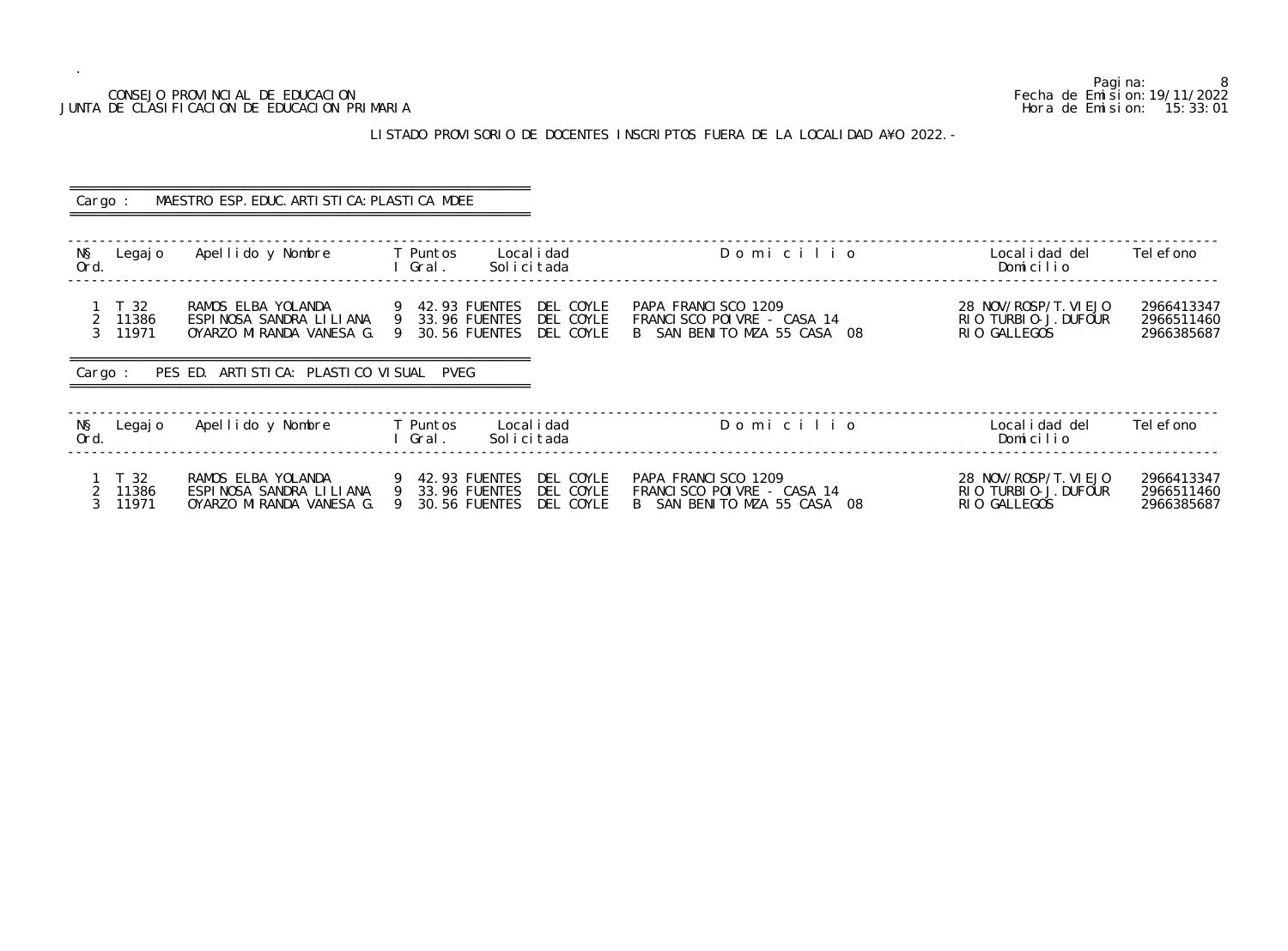# JUNTA DE CLASIFICACION DE EDUCACION PRIMARIA

.

## LISTADO PROVISORIO DE DOCENTES INSCRIPTOS FUERA DE LA LOCALIDAD A¥O 2022.-

Pagina: 8<br>Fecha de Emision: 19/11/2022 CONSEJO PROVINCIAL DE EDUCACION Fecha de Emision:19/11/2022 o Localidad del Telefono<br>Domicilio ------------------------------------------------------------------------------------------------------------------------------------------------- 28 NOV/ROSP/T. VIEJO 2966413347<br>RIO TURBIO-J. DUFOUR 2966511460<br>RIO GALLEGOS 2966385687 2 11386 RIO TURBIO-J.DUFOUR<br>23.96 FUENTES RIO GALLE FRANCISCO POINT ------------------------------------------------------------------------------------------------------------------------------------------------- -------------------------------------------------------------------------------------------------------------------------------------------------

| Cargo :                                                      | MAESTRO ESP. EDUC. ARTI STI CA: PLASTI CA MDEE                            |                                                                                                  |                                                                                  |                                                               |                                        |
|--------------------------------------------------------------|---------------------------------------------------------------------------|--------------------------------------------------------------------------------------------------|----------------------------------------------------------------------------------|---------------------------------------------------------------|----------------------------------------|
| NŞ<br>Legaj o<br>Ord.                                        | Apellido y Nombre                                                         | Local i dad<br>T Puntos<br>Gral.<br>Solicitada                                                   | Domicilio                                                                        | Local i dad del<br>Domicilio                                  | Tel efono                              |
| 1 T 32<br>11386<br>$\overline{2}$<br>3 <sup>7</sup><br>11971 | RAMOS ELBA YOLANDA<br>ESPINOSA SANDRA LILIANA<br>OYARZO MIRANDA VANESA G. | DEL COYLE<br>9 42.93 FUENTES<br>9 33.96 FUENTES<br>DEL COYLE<br>9 30.56 FUENTES<br>DEL COYLE     | PAPA FRANCISCO 1209<br>FRANCISCO POIVRE - CASA 14<br>B SAN BENITO MZA 55 CASA 08 | 28 NOV/ROSP/T. VI EJO<br>RIO TURBIO-J. DUFOUR<br>RIO GALLEGOS | 2966413347<br>2966511460<br>2966385687 |
| Cargo:                                                       | PES ED. ARTISTICA: PLASTICO VISUAL PVEG                                   |                                                                                                  |                                                                                  |                                                               |                                        |
| NŞ<br>Legaj o<br>Ord.                                        | Apellido y Nombre                                                         | T Puntos<br>Local i dad<br>Solicitada<br>l Gral.                                                 | Domicilio                                                                        | Local i dad del<br>Domicilio                                  | Tel efono                              |
| T 32<br>11386<br>11971                                       | RAMOS ELBA YOLANDA<br>ESPINOSA SANDRA LILIANA<br>OYARZO MIRANDA VANESA G. | DEL COYLE<br>9 42.93 FUENTES<br>9 33.96 FUENTES<br>DEL COYLE<br>30.56 FUENTES<br>DEL COYLE<br>-9 | PAPA FRANCISCO 1209<br>FRANCISCO POIVRE - CASA 14<br>B SAN BENITO MZA 55 CASA 08 | 28 NOV/ROSP/T. VI EJO<br>RIO TURBIO-J. DUFOUR<br>RIO GALLEGOS | 2966413347<br>2966511460<br>2966385687 |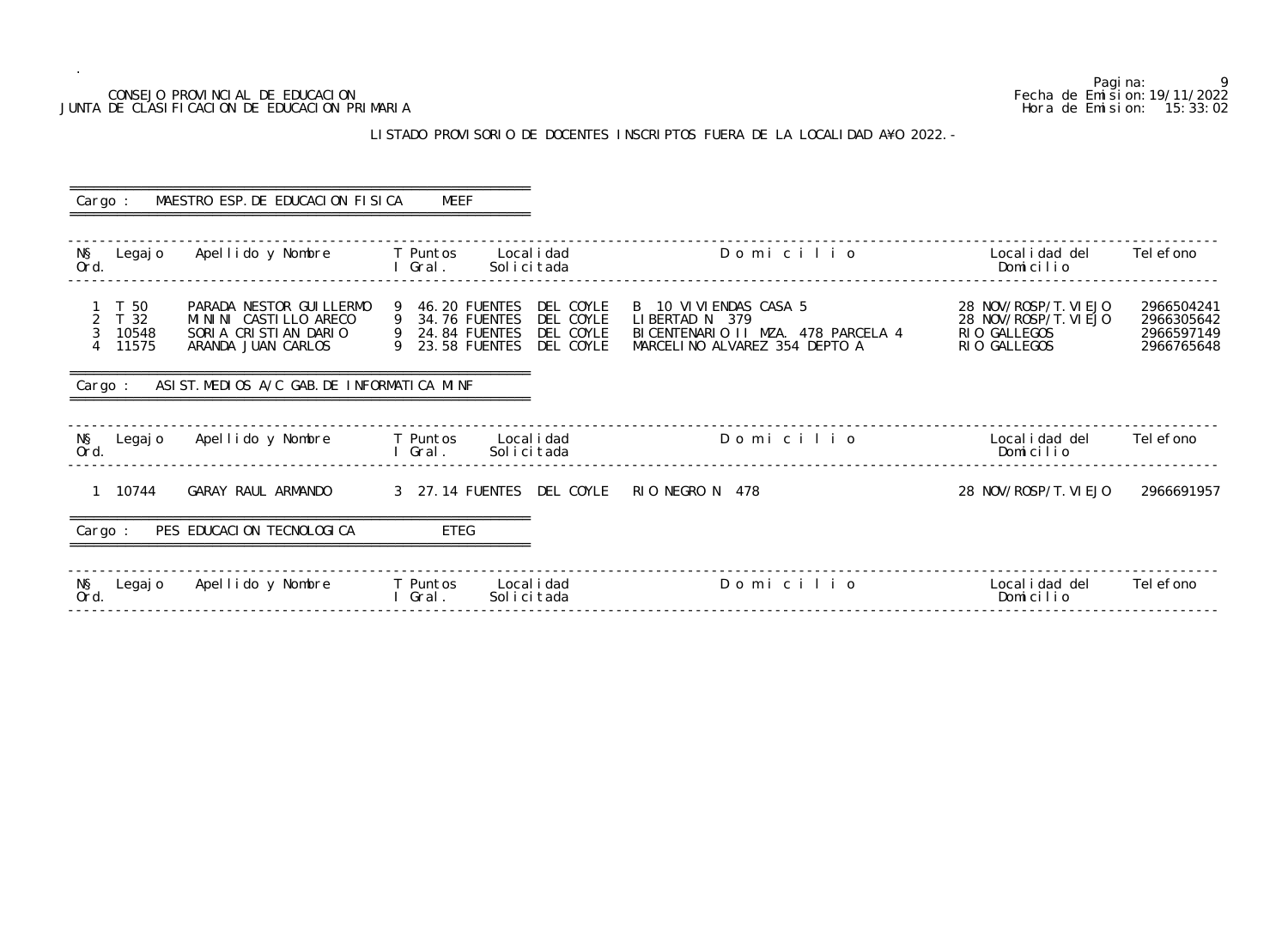### CONSEJO PROVINCIAL DE EDUCACION JUNTA DE CLASIFICACION DE EDUCACION PRIMARIA

.

## LISTADO PROVISORIO DE DOCENTES INSCRIPTOS FUERA DE LA LOCALI

|                                                                    | CONSEJO PROVINCIAL DE EDUCACION<br>JUNTA DE CLASIFICACION DE EDUCACION PRIMARIA                 | Pagi na:<br>Fecha de Emi si on: 19/11/2022                                                                                               | 9<br>Hora de Emision: 15:33:02                                                                                   |                                                                                |                                                      |
|--------------------------------------------------------------------|-------------------------------------------------------------------------------------------------|------------------------------------------------------------------------------------------------------------------------------------------|------------------------------------------------------------------------------------------------------------------|--------------------------------------------------------------------------------|------------------------------------------------------|
|                                                                    |                                                                                                 |                                                                                                                                          | LISTADO PROVISORIO DE DOCENTES INSCRIPTOS FUERA DE LA LOCALIDAD A¥O 2022. -                                      |                                                                                |                                                      |
| Cargo :                                                            | MAESTRO ESP. DE EDUCACION FISICA                                                                | MEEF                                                                                                                                     |                                                                                                                  |                                                                                |                                                      |
| NŞ<br>Legaj o<br>Ord.                                              | Apellido y Nombre                                                                               | T Puntos<br>Local i dad<br>Gral.<br>Solicitada                                                                                           | Domicilio                                                                                                        | Local i dad del<br>Domicilio                                                   | Tel efono                                            |
| T 50<br>$\overline{2}$<br>T 32<br>10548<br>11575<br>$\overline{4}$ | PARADA NESTOR GUI LLERMO<br>MININI CASTILLO ARECO<br>SORIA CRISTIAN DARIO<br>ARANDA JUAN CARLOS | DEL COYLE<br>46.20 FUENTES<br>9<br>DEL COYLE<br>34.76 FUENTES<br>9<br>DEL COYLE<br>24.84 FUENTES<br>9<br>DEL COYLE<br>23.58 FUENTES<br>9 | B 10 VI VI ENDAS CASA 5<br>LIBERTAD N 379<br>BICENTENARIO II MZA. 478 PARCELA 4<br>MARCELINO ALVAREZ 354 DEPTO A | 28 NOV/ROSP/T. VI EJO<br>28 NOV/ROSP/T. VI EJO<br>RIO GALLEGOS<br>RIO GALLEGOS | 2966504241<br>2966305642<br>2966597149<br>2966765648 |
| Cargo :                                                            | ASIST. MEDIOS A/C GAB. DE INFORMATICA MINF                                                      |                                                                                                                                          |                                                                                                                  |                                                                                |                                                      |
| NŞ<br>Legaj o<br>Ord.                                              | Apellido y Nombre                                                                               | T Puntos<br>Local i dad<br>Solicitada<br>Gral.                                                                                           | Domicilio                                                                                                        | Local i dad del<br>Domicilio                                                   | Tel efono                                            |
| 10744                                                              | GARAY RAUL ARMANDO                                                                              | 3 27.14 FUENTES DEL COYLE                                                                                                                | RIO NEGRO N 478                                                                                                  | 28 NOV/ROSP/T. VI EJO                                                          | 2966691957                                           |
| Cargo :                                                            | PES EDUCACION TECNOLOGICA                                                                       | <b>ETEG</b>                                                                                                                              |                                                                                                                  |                                                                                |                                                      |
| N§<br>Ord<br>Legaj o                                               | Apellido y Nombre                                                                               | Local i dad<br>T Puntos<br>Solicitada<br>Gral.                                                                                           | Domicilio                                                                                                        | Local i dad del<br>Domicilio                                                   | Tel efono                                            |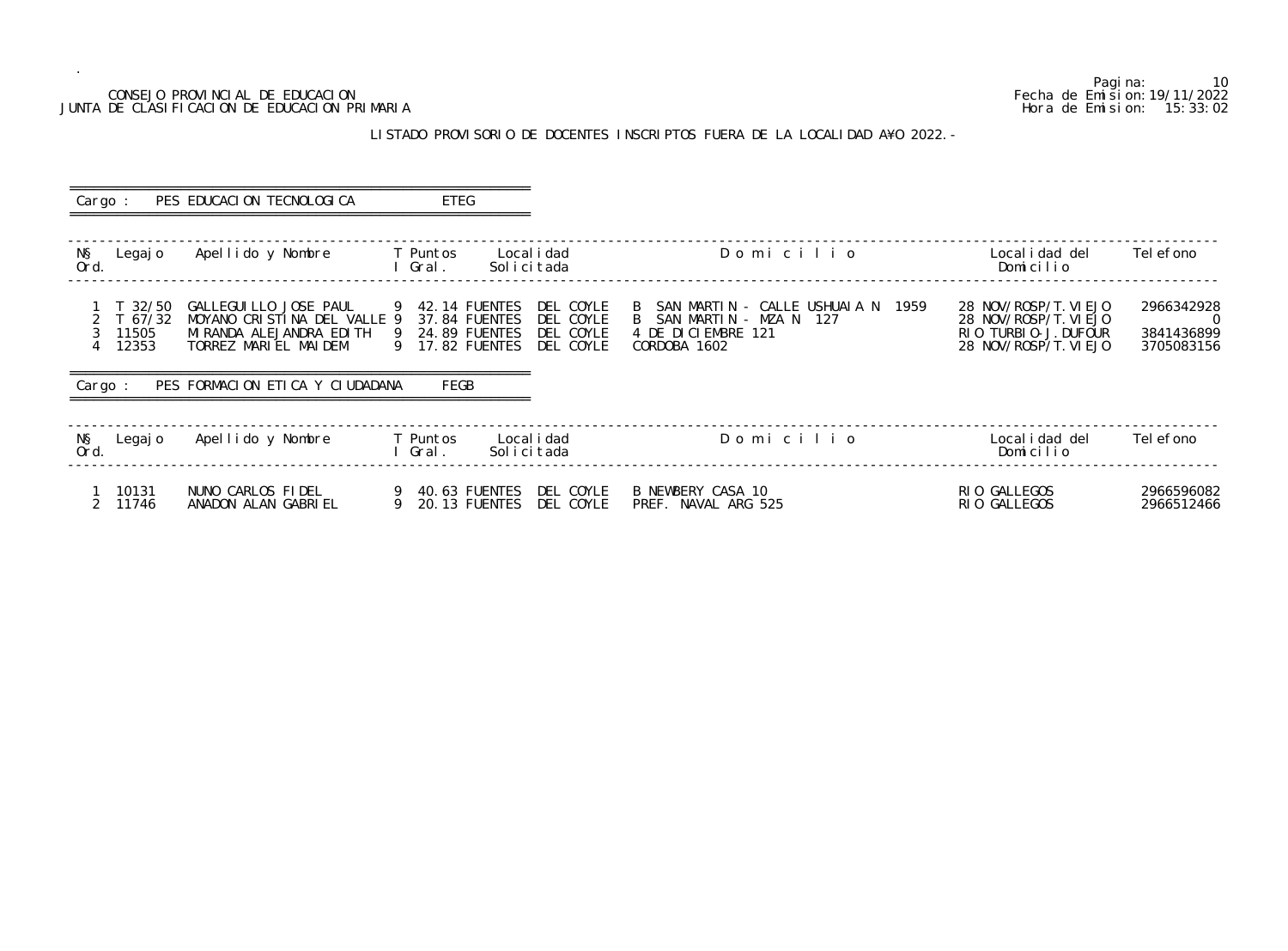## LISTADO PROVISORIO DE DOCENTES INSCRIPTOS FUERA DE LA LOCALIDAD A¥O 2022. -

### CONSEJO PROVINCIAL DE EDUCACION Fecha de Emision:19/11/2022 JUNTA DE CLASIFICACION DE EDUCACION PRIMARIA

 ========================================================== Cargo : PES EDUCACION TECNOLOGICA ETEG ========================================================== ------------------------------------------------------------------------------------------------------------------------------------------------- N§ Legajo Apellido y Nombre T Puntos Localidad Domicili<br>Ord. I Gral. Solicitada I Gral. ------------------------------------------------------------------------------------------------------------------------------------------------- 1 T 32/50 GALLEGUILLO JOSE PAUL 9 42.14 FUENTES DEL COYLE B SAN MARTIN - CALLE USHUAIA N 1959 28 NOV/ROSP/T.VIEJO 2966342928 2 T 67/32 MOYANO CRISTINA DEL VALLE 9 37.84 FUENTES DEL COYLE B SAN MARTIN - MZA N 127 28 NOV/ROSP/T.VIEJO 0 3 11505 MIRANDA ALEJANDRA EDITH 9 24.89 FUENTES DEL COYLE 4 DE DICIEMBRE 121 RIO TURBIO-J.DUFOUR 3841436899 4 12353 TORREZ MARIEL MAIDEM 9 17.82 FUENTES DEL COYLE CORDOBA 1602 28 NOV/ROSP/T.VIEJO 3705083156 ========================================================== Cargo : PES FORMACION ETICA Y CIUDADANA FEGB ========================================================== ------------------------------------------------------------------------------------------------------------------------------------------------- N§ Legajo Apellido y Nombre T Puntos Localidad Domicili Ord. I Gral. Solicitada Domicilio ------------------------------------------------------------------------------------------------------------------------------------------------- 1 10131 NUNO CARLOS FIDEL 9 40.63 FUENTES DEL COYLE B NEWBERY CASA 10 RIO GALLEGOS 2966596082 2 11746 ANADON ALAN GABRIEL 9 20.13 FUENTES DEL COYLE PREF. NAVAL ARG 525 RIO GALLEGOS 2966512466

Pagina: 10<br>Fecha de Emision: 19/11/2022

| O   |      | Local i dad del<br>Domicilio                                                                    | Tel efono                                                  |
|-----|------|-------------------------------------------------------------------------------------------------|------------------------------------------------------------|
| IAN | 1959 | 28 NOV/ROSP/T. VI EJO<br>28 NOV/ROSP/T. VI EJO<br>RIO TURBIO-J. DUFOUR<br>28 NOV/ROSP/T. VI EJO | 2966342928<br>$\left( \right)$<br>3841436899<br>3705083156 |
| O   |      | Local i dad del<br>Domicilio                                                                    | Tel efono                                                  |
|     |      | RIO GALLEGOS                                                                                    | 2966596082                                                 |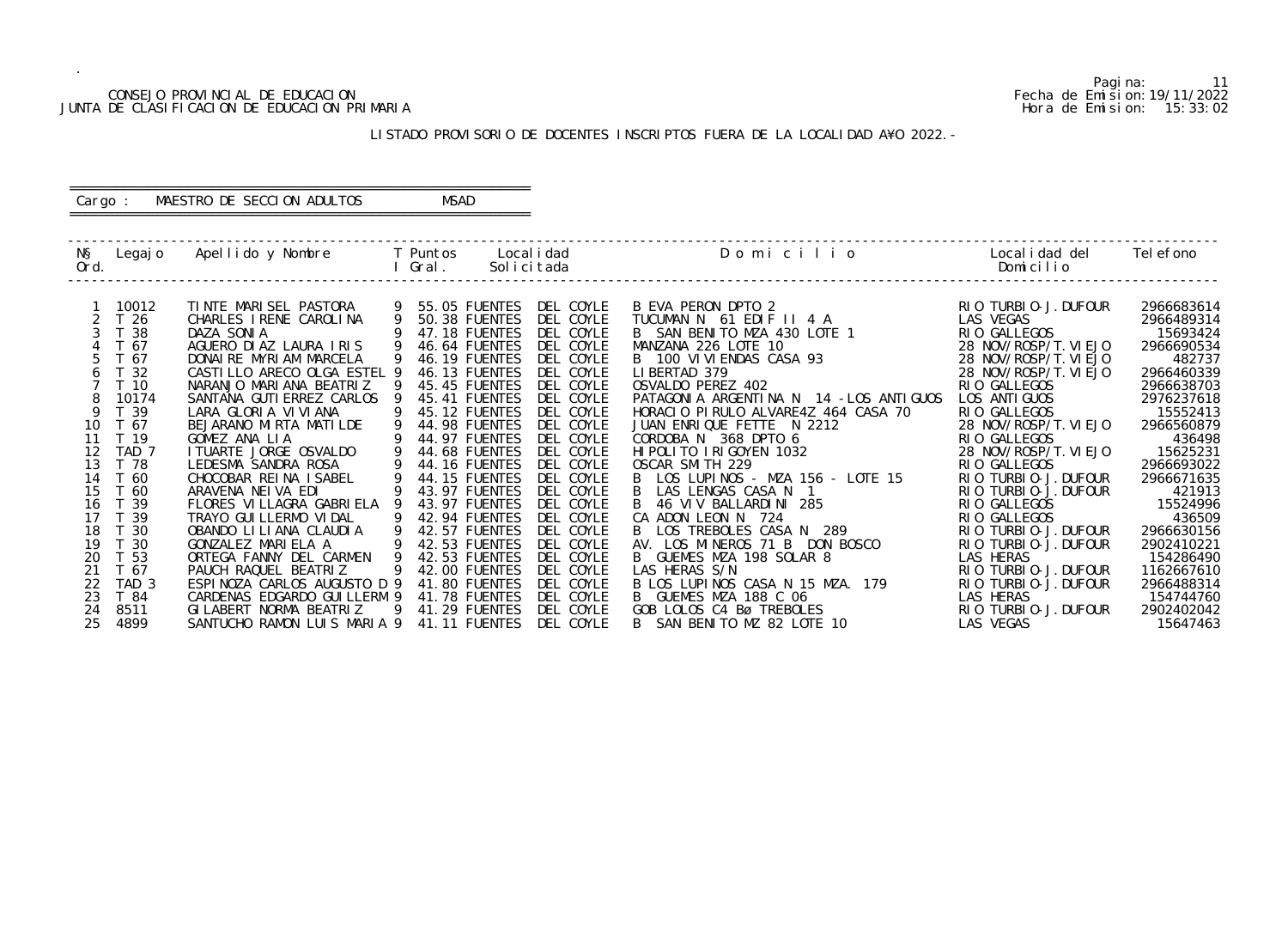# CONSEJO PROVINCIAL DE EDUCACION Fecha de Emision:19/11/2022 JUNTA DE CLASIFICACION DE EDUCACION PRIMARIA

Pagina: 11

| O            | Localidad del Telefono<br>Domicilio           |                          |
|--------------|-----------------------------------------------|--------------------------|
|              |                                               |                          |
|              | RIO TURBIO-J. DUFOUR<br>LAS VEGAS             | 2966683614<br>2966489314 |
|              | RIO GALLEGOS                                  | 15693424                 |
|              | 28 NOV/ROSP/T. VI EJO                         | 2966690534               |
|              | 28 NOV/ROSP/T. VI EJO                         | 482737                   |
|              | 28 NOV/ROSP/T. VI EJO                         | 2966460339               |
|              | RIO GALLEGOS                                  | 2966638703               |
| LOS ANTIGUOS | LOS ANTI GUOS                                 | 2976237618               |
| CASA 70      | RIO GALLEGOS                                  | 15552413                 |
|              | 28 NOV/ROSP/T.VIEJO                           | 2966560879               |
|              | RIO GALLEGOS                                  | 436498                   |
|              | 28 NOV/ROSP/T. VI EJO                         | 15625231                 |
|              | RIO GALLEGOS                                  | 2966693022               |
| LOTE 15      | TURBI 0-J. DUFOUR<br>RI 0                     | 2966671635               |
|              | RIO TURBIO-J. DUFOUR                          | 421913                   |
|              | GALLEGOS<br>RI 0                              | 15524996                 |
|              | GALLEGOS<br>RI 0<br>TURBI 0-J. DUFOUR<br>RI 0 | 436509<br>2966630156     |
| 0SCO         | TURBI 0-J. DUFOUR<br>RI 0                     | 2902410221               |
|              | <b>LAS</b><br>HERAS                           | 154286490                |
|              | TURBI 0-J. DUFOUR<br>RI 0                     | 1162667610               |
| 179          | TURBI 0-J. DUFOUR<br>RI 0                     | 2966488314               |
|              | <b>LAS</b><br>HERAS                           | 154744760                |
|              | TURBI 0-J. DUFOUR<br>RI 0                     | 2902402042               |
|              | LAS.<br>VEGAS                                 | 15647463                 |

#### LISTADO PROVISORIO DE DOCENTES INSCRIPTOS FUERA DE LA LOCALIDAD A¥O 2022.-

 ------------------------------------------------------------------------------------------------------------------------------------------------- N§ Legajo Apellido y Nombre T Puntos Localidad Domicilion Ord. I Gral. Solicitada Domicilio ------------------------------------------------------------------------------------------------------------------------------------------------- 1 10012 TINTE MARISEL PASTORA 9 55.05 FUENTES DEL COYLE BEVA PERON DPTO 2<br>2 T 26 CHARLES IRENE CAROLINA 9 50.38 FUENTES DEL COYLE TUCUMAN N 61 EDIFII 4 A 2 T 26 CHARLES IRENE CAROLINA 9 50.38 FUENTES DEL COYLE TUCUMAN N 61 EDIF II 4 A<br>3 T 38 DAZA SONIA 9 47.18 FUENTES DEL COYLE B SAN BENITO MZA 430 LOTE 3 T 38 DAZA SONIA 9 47.18 FUENTES DEL COYLE B SAN BENITO MZA 430 LOTE 1 RIO GALLEGOS 15693424 4 T 67 AGUERO DIAZ LAURA IRIS 9 46.64 FUENTES DEL COYLE<br>5 T 67 DONAIRE MYRIAM MARCELA 9 46.19 FUENTES DEL COYLE 5 T 67 DONAIRE MYRIAM MARCELA 9 46.19 FUENTES DEL COYLE B 100 VIVIENDAS CASA 93<br>6 T 32 CASTILLO ARECO OLGA ESTEL 9 46.13 FUENTES DEL COYLE LIBERTAD 379 6 T 32 CASTILLO ARECO OLGA ESTEL 9 46.13 FUENTES DEL COYLE LIBERTAD 379<br>7 T 10 NARANJO MARIANA BEATRIZ 9 45.45 FUENTES DEL COYLE OSVALDO PEREZ 402 7 T 10 NARANJO MARIANA BEATRIZ 9 45.45 FUENTES DEL COYLE OSVALDO PEREZ 402<br>8 10174 SANTANA GUTIERREZ CARLOS 9 45.41 FUENTES DEL COYLE PATAGONIA ARGENTINA N 14 – 8 10174 SANTANA GUTIERREZ CARLOS 9 45.41 FUENTES DEL COYLE<br>9 T 39 LARA GLORIA VIVIANA 9 45.12 FUENTES DEL COYLE<br>10 T 67 BEJARANO MIRTA MATILDE 9 44.98 FUENTES DEL COYLE 9 T 39 LARA GLORIA VIVIANA 9 45.12 FUENTES DEL COYLE HORACIO PIRULO ALVARE4Z 464<br>10 T 67 BEJARANO MIRTA MATILDE 9 44.98 FUENTES DEL COYLE JUAN ENRIQUE FETTE N 2212 10 T 67 BEJARANO MIRTA MATILDE 9 44.98 FUENTES DEL COYLE JUAN ENRIQUE FETTE N 2212<br>11 T 19 GOMEZ ANA LIA 9 44.97 FUENTES DEL COYLE CORDOBA N 368 DPTO 6<br>12 TAD 7 ITUARTE JORGE OSVALDO 9 44.68 FUENTES DEL COYLE HIPOLITO IRIG 11 T 19 GOMEZ ANA LIA 9 44.97 FUENTES DEL COYLE CORDOBA N 368 DPTO 6 RIO GALLEGOS 436498 12 TAD 7 ITUARTE JORGE OSVALDO 9 44.68 FUENTES DEL COYLE HIPOLITO IRIGOYEN 1032 28 NOV/ROSP/T.VIEJO 15625231 13 T 78 LEDESMA SANDRA ROSA 9 44.16 FUENTES DEL COYLE OSCAR SMITH 229 RIO GALLEGOS 2966693022 14 T 60 CHOCOBAR REINA ISABEL 9 44.15 FUENTES DEL COYLE B LOS LUPINOS - MZA 156 - LOTE 15 RIO TURBIO-J.DUFOUR 2966671635 15 T 60 ARAVENA NEIVA EDI 9 43.97 FUENTES DEL COYLE B LAS LENGAS CASA N 1 RIO TURBIO-J.DUFOUR 421913 16 T 39 FLORES VILLAGRA GABRIELA 9 43.97 FUENTES DEL COYLE B 46 VIV BALLARDINI 285 RIO GALLEGOS 15524996 17 T 39 TRAYO GUILLERMO VIDAL 9 42.94 FUENTES DEL COYLE CA ADON LEON N 724 RIO GALLEGOS 436509 18 T 30 OBANDO LILIANA CLAUDIA 9 42.57 FUENTES DEL COYLE B LOS TREBOLES CASA N 289 RIO TURBIO-J.DUFOUR 2966630156 19 T 30 GONZALEZ MARIELA A 9 42.53 FUENTES DEL COYLE AV. LOS MINEROS 71 B DON BOSCO RIO TURBIO-J.DUFOUR 2902410221 20 T 53 ORTEGA FANNY DEL CARMEN 9 42.53 FUENTES DEL COYLE B GUEMES MZA 198 SOLAR 8 LAS HERAS 154286490 21 T 67 PAUCH RAQUEL BEATRIZ 9 42.00 FUENTES DEL COYLE LAS HERAS S/N RIO TURBIO-J.DUFOUR 1162667610 20 T 53 GONZALLZ MAN LLA CARMEN 9 42.53 FUENTES DEL COYLE AV. LUS MINEROS / BOLAR 8<br>21 T 67 PAUCH RAQUEL BEATRIZ 9 42.00 FUENTES DEL COYLE LAS HERAS S/N<br>22 TAD 3 ESPINOZA CARLOS AUGUSTO D 9 41.80 FUENTES DEL COYLE B LOS LU 23 T 84 CARDENAS EDGARDO GUILLERM 9 41.78 FUENTES DEL COYLE B GUEMES MZA 188 C 06<br>24 8511 GILABERT NORMA BEATRIZ 9 41.29 FUENTES DEL COYLE GOB LOLOS C4 Bø TREBOLES 24 8511 GILABERT NORMA BEATRIZ 9 41.29 FUENTES DEL COYLE<br>25 4899 SANTUCHO RAMON LUIS MARIA 9 41.11 FUENTES DEL COYLE SANTUCHO RAMON LUIS MARIA 9 41.11 FUENTES DEL COYLE B SAN BENITO MZ 82 LOTE 10

#### ========================================================== Cargo : MAESTRO DE SECCION ADULTOS MSAD ==========================================================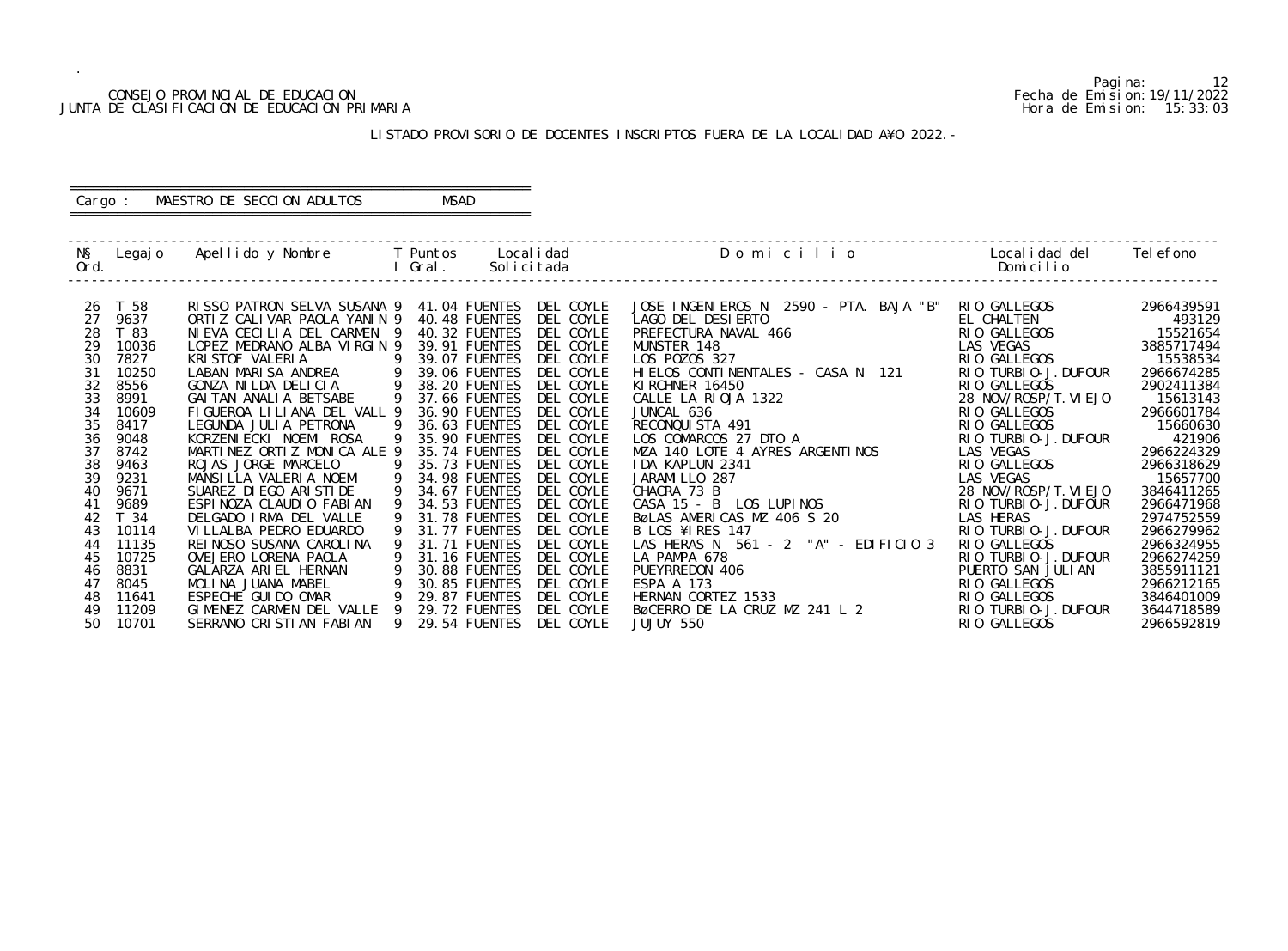## CONSEJO PROVINCIAL DE EDUCACION (CONSEJO PROVINCIAL DE EDUCACION FECHA DE ENTRE EN ENTRE EN ENTRE EN ENTRE EN<br>DE CLASIFICACION DE EDUCACION PRIMARIA (CONSERVENTE EN ENTRE EN ENTRE EN ENTRE EN ENGLACION DE ENTRE EN ENTRE JUNTA DE CLASIFICACION DE EDUCACION PRIMARIA

.

Pagina: 12

|                       | Localidad del Telefono<br>Domicilio    |                          |
|-----------------------|----------------------------------------|--------------------------|
| TA. BAJA "B"          | RIO GALLEGOS                           | 2966439591               |
|                       | EL CHALTEN                             | 493129                   |
|                       | RI 0<br><b>GALLEGOS</b>                | 15521654                 |
|                       | LAS VEGAS                              | 3885717494               |
|                       | RI 0<br>GALLEGOS                       | 15538534                 |
| 121<br>N              | TURBI 0-J. DUFOUR<br>RI 0              | 2966674285               |
|                       | RI 0<br><b>GALLEGOS</b>                | 2902411384               |
|                       | 28 NOV/ROSP/T. VI EJO                  | 15613143                 |
|                       | GALLEGOS<br>RI 0                       | 2966601784               |
|                       | GALLEGOS<br>RI 0                       | 15660630                 |
|                       | TURBI 0-J. DUFOUR<br>RI 0              | 421906                   |
| I NOS                 | <b>VEGAS</b><br>LAS                    | 2966224329               |
|                       | <b>GALLEGOS</b><br>RI 0                | 2966318629               |
|                       | LAS VEGAS                              | 15657700                 |
|                       | 28 NOV/ROSP/T. VI EJO                  | 3846411265               |
|                       | TURBI 0-J. DUFOUR<br>RI 0.             | 2966471968               |
|                       | LAS HERAS<br>TURBI 0-J. DUFOUR<br>RI 0 | 2974752559<br>2966279962 |
| EDIFICIO <sub>3</sub> | GALLEGOS<br>RI 0                       | 2966324955               |
|                       | TURBI 0-J. DUFOUR<br>RI 0              | 2966274259               |
|                       | PUERTO SAN JULIAN                      | 3855911121               |
|                       | <b>GALLEGOS</b><br>RI 0                | 2966212165               |
|                       | <b>GALLEGOS</b><br>RI 0                | 3846401009               |
| 2                     | TURBI 0-J. DUFOUR<br>RI                | 3644718589               |
|                       | <b>GALLEGOS</b><br>RI 0                | 2966592819               |

#### LISTADO PROVISORIO DE DOCENTES INSCRIPTOS FUERA DE LA LOCALIDAD A¥O 2022.-

 ------------------------------------------------------------------------------------------------------------------------------------------------- N§ Legajo Apellido y Nombre T Puntos Localidad Domicilion Ord. I Gral. Solicitada Domicilio ------------------------------------------------------------------------------------------------------------------------------------------------- 26 T 58 RISSO PATRON SELVA SUSANA 9 41.04 FUENTES DEL COYLE JOSE INGENIEROS N 2590 - PTA. BAJA "B" RIO GALLEGOS 2966439591 27 9637 ORTIZ CALIVAR PAOLA YANIN 9 40.48 FUENTES DEL COYLE LAGO DEL DESIERTO EL CHALTEN 493129 28 T 83 NIEVA CECILIA DEL CARMEN 9 40.32 FUENTES DEL COYLE PREFECTURA NAVAL 466 RIO GALLEGOS 15521654 29 10036 LOPEZ MEDRANO ALBA VIRGIN 9 39.91 FUENTES DEL COYLE MUNSTER 148<br>30 7827 KRISTOF VALERIA 9 39.07 FUENTES DEL COYLE LOS POZOS 327 30 7827 KRISTOF VALERIA 9 39.07 FUENTES DEL COYLE LOS POZOS 327 RIO GALLEGOS 15538534 31 10250 LABAN MARISA ANDREA 9 39.06 FUENTES DEL COYLE HIELOS CONTINENTALES - CASA N 121 RIO TURBIO-J.DUFOUR 2966674285 32 8556 GONZA NILDA DELICIA 9 38.20 FUENTES DEL COYLE KIRCHNER 16450 RIO GALLEGOS 2902411384 33 8991 GAITAN ANALIA BETSABE 9 37.66 FUENTES DEL COYLE CALLE LA RIOJA 1322 28 NOV/ROSP/T.VIEJO 15613143 34 10609 FIGUEROA LILIANA DEL VALL 9 36.90 FUENTES DEL COYLE JUNCAL 636 RIO GALLEGOS 2966601784 35 8417 LEGUNDA JULIA PETRONA 9 36.63 FUENTES DEL COYLE RECONQUISTA 491 RIO GALLEGOS 15660630 36 9048 KORZENIECKI NOEMI ROSA 9 35.90 FUENTES DEL COYLE LOS COMARCOS 27 DTO A RIO TURBIO-J.DUFOUR 421906 37 8742 MARTINEZ ORTIZ MONICA ALE 9 35.74 FUENTES DEL COYLE MZA 140 LOTE 4 AYRES ARGENTINOS LAS VEGAS 2966224329 38 9463 ROJAS JORGE MARCELO 9 35.73 FUENTES DEL COYLE IDA KAPLUN 2341<br>39 9231 MANSILLA VALERIA NOEMI 9 34.98 FUENTES DEL COYLE JARAMILLO 287 39 9231 MANSILLA VALERIA NOEMI 9 34.98 FUENTES DEL COYLE JARAMILLO 28<br>7 40 9671 SUAREZ DIEGO ARISTIDE 9 34.67 FUENTES DEL COYLE CHACRA 73 B 40 9671 SUAREZ DIEGO ARISTIDE 9 34.67 FUENTES DEL COYLE CHACRA 73 B<br>41 9689 ESPINOZA CLAUDIO FABIAN 9 34.53 FUENTES DEL COYLE CASA 15 - B LOS LUPINOS 41 9689 ESPINOZA CLAUDIO FABIAN 9 34.53 FUENTES DEL COYLE<br>42 T 34 DELGADO IRMA DEL VALLE 9 31.78 FUENTES DEL COYLE 42 T 34 DELGADO IRMA DEL VALLE 9 31.78 FUENTES DEL COYLE BøLAS AMERICAS MZ 406 S 20<br>43 10114 VILLALBA PEDRO EDUARDO 9 31.77 FUENTES DEL COYLE B LOS ¥IRES 147 43 10114 VILLALBA PEDRO EDUARDO 9 31.77 FUENTES DEL COYLE B LOS ¥IRES 147 RIO TURBIO-J.DUFOUR 2966279962 44 11135 REINOSO SUSANA CAROLINA 9 31.71 FUENTES DEL COYLE LAS HERAS N 561 - 2 "A" - EDIFICIO 3 RIO GALLEGOS 2966324955 45 10725  OVEJERO LORENA PAOLA 9 31.16 FUENTES DEL COYLE LA PAMPA 678 RIO TURBIO-J.DUFOUR 2966274259 46 8831 GALARZA ARIEL HERNAN 9 30.88 FUENTES DEL COYLE PUEYRREDON 406 PUERTO SAN JULIAN 3855911121 47 8045 MOLINA JUANA MABEL 9 30.85 FUENTES DEL COYLE ESPA A 173 RIO GALLEGOS 2966212165 48 11641 ESPECHE GUIDO OMAR 9 29.87 FUENTES DEL COYLE HERNAN CORTEZ 1533 RIO GALLEGOS 3846401009 49 11209 GIMENEZ CARMEN DEL VALLE 9 29.72 FUENTES DEL COYLE BøCERRO DE LA CRUZ MZ 241 L 2 RIO TURBIO-J.DUFOUR 3644718589 50 10701 SERRANO CRISTIAN FABIAN 9 29.54 FUENTES DEL COYLE JUJUY 550

#### ========================================================== Cargo : MAESTRO DE SECCION ADULTOS MSAD ==========================================================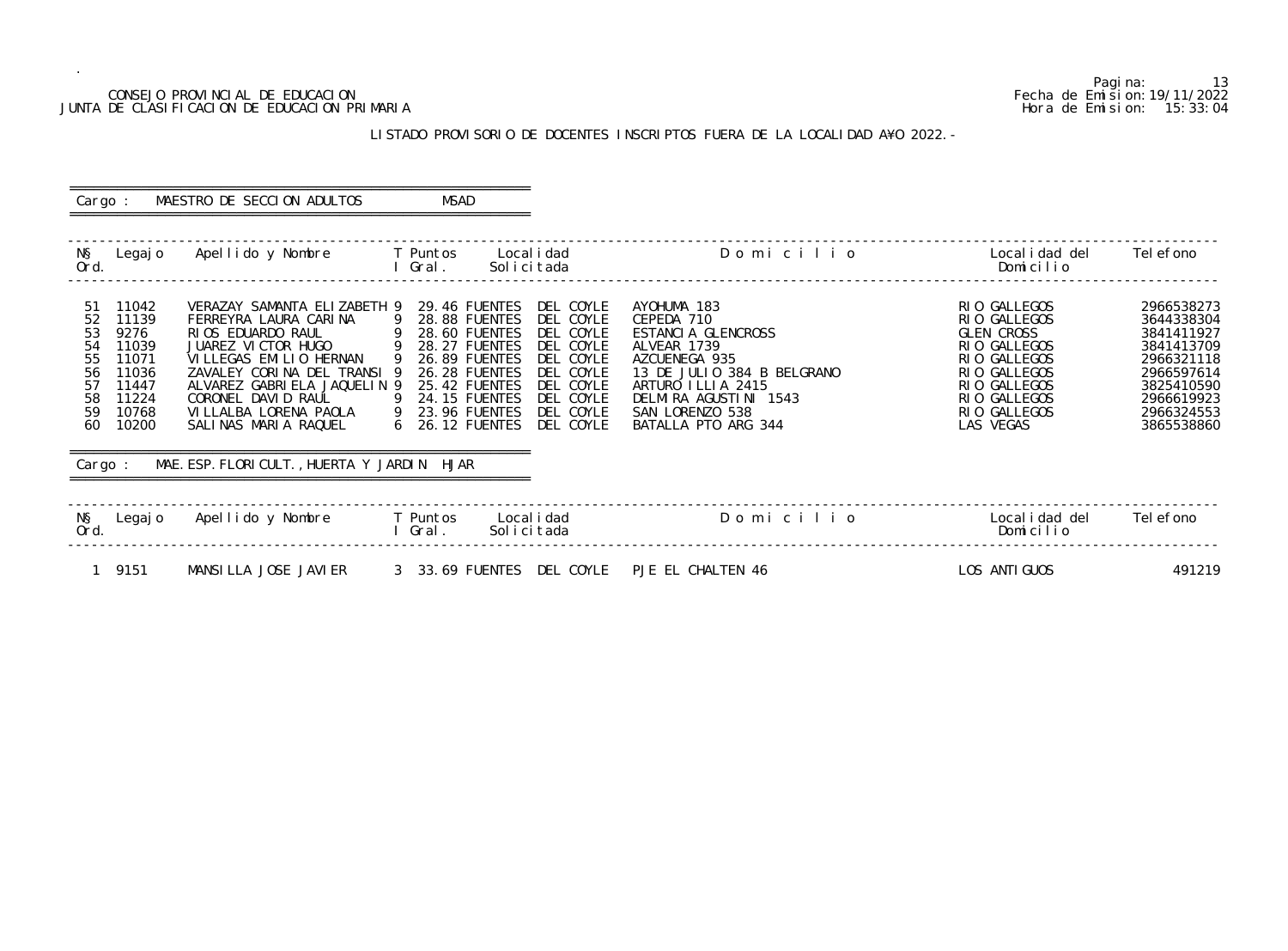#### CONSEJO PROVINCIAL DE EDUCACION Fecha de Emision:19/11/2022 JUNTA DE CLASIFICACION DE EDUCACION PRIMARIA Hora de Emision: 15:33:04

# LISTADO PROVISORIO DE DOCENTES INSCRIPTOS FUERA DE LA LOCALIDAD A¥O 2022.-

| Cargo :                                                                                                                                                       | MAESTRO DE SECCION ADULTOS                                                                                                                                                                                                                                                       | MSAD                                                                                                                                                                                                                                                                                                                                        |                                                                                                                                                                                                       |                                                                                                                                                         |                                                                                                                                          |
|---------------------------------------------------------------------------------------------------------------------------------------------------------------|----------------------------------------------------------------------------------------------------------------------------------------------------------------------------------------------------------------------------------------------------------------------------------|---------------------------------------------------------------------------------------------------------------------------------------------------------------------------------------------------------------------------------------------------------------------------------------------------------------------------------------------|-------------------------------------------------------------------------------------------------------------------------------------------------------------------------------------------------------|---------------------------------------------------------------------------------------------------------------------------------------------------------|------------------------------------------------------------------------------------------------------------------------------------------|
| NŞ<br>Legaj o<br>Ord.                                                                                                                                         | Apellido y Nombre         T Puntos     Localidad                                                                                                                                                                                                                                 | Solicitada<br>I Gral.                                                                                                                                                                                                                                                                                                                       | Domicilio                                                                                                                                                                                             | Local i dad del<br>Domicilio                                                                                                                            | Tel efono                                                                                                                                |
| 11042<br>-51<br>52<br>11139<br>53<br>9276<br>54<br>11039<br>55<br>11071<br>56<br>11036<br>57<br>11447<br>11224<br>58<br>59<br>10768<br>60<br>10200<br>Cargo : | FERREYRA LAURA CARINA<br>RIOS EDUARDO RAUL<br>JUAREZ VICTOR HUGO<br>VI LLEGAS EMILIO HERNAN<br>ZAVALEY CORINA DEL TRANSI 9<br>ALVAREZ GABRIELA JAQUELIN 9<br>CORONEL DAVID RAUL<br>VI LLALBA LORENA PAOLA<br>SALINAS MARIA RAQUEL<br>MAE. ESP. FLORI CULT., HUERTA Y JARDIN HJAR | VERAZAY SAMANTA ELIZABETH 9 29.46 FUENTES DEL COYLE<br>9 28.88 FUENTES<br>DEL COYLE<br>$9$ 28.60 FUENTES DEL COYLE<br>9 28.27 FUENTES<br>DEL COYLE<br>9 26.89 FUENTES<br>DEL COYLE<br>26.28 FUENTES<br>DEL COYLE<br>DEL COYLE<br>25.42 FUENTES<br>9 24.15 FUENTES<br>DEL COYLE<br>9 23.96 FUENTES<br>DEL COYLE<br>6 26.12 FUENTES DEL COYLE | AYOHUMA 183<br>CEPEDA 710<br>ESTANCIA GLENCROSS<br>ALVEAR 1739<br>AZCUENEGA 935<br>13 DE JULIO 384 B BELGRANO<br>ARTURO ILLIA 2415<br>DELMIRA AGUSTINI 1543<br>SAN LORENZO 538<br>BATALLA PTO ARG 344 | RIO GALLEGOS<br>RIO GALLEGOS<br>GLEN CROSS<br>RIO GALLEGOS<br>RIO GALLEGOS<br>RIO GALLEGOS<br>RIO GALLEGOS<br>RIO GALLEGOS<br>RIO GALLEGOS<br>LAS VEGAS | 2966538273<br>3644338304<br>3841411927<br>3841413709<br>2966321118<br>2966597614<br>3825410590<br>2966619923<br>2966324553<br>3865538860 |
| NŞ<br>Ord.                                                                                                                                                    | Legajo Apellido y Nombre     T Puntos                                                                                                                                                                                                                                            | Local i dad<br>l Gral.<br>Solicitada                                                                                                                                                                                                                                                                                                        | Domicilio                                                                                                                                                                                             | Local i dad del<br>Domicilio                                                                                                                            | Tel efono                                                                                                                                |
| 1 9151                                                                                                                                                        | MANSILLA JOSE JAVIER                                                                                                                                                                                                                                                             | 3 33.69 FUENTES DEL COYLE PJE EL CHALTEN 46                                                                                                                                                                                                                                                                                                 |                                                                                                                                                                                                       | LOS ANTI GUOS                                                                                                                                           | 491219                                                                                                                                   |

Pagina: 13<br>Fecha de Emision: 19/11/2022<br>Hora de Emision: 15:33:04